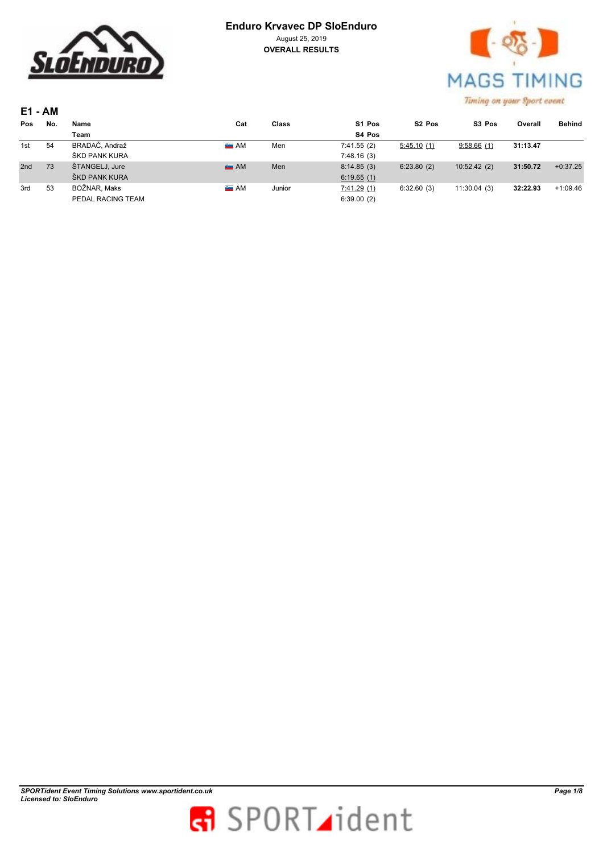



| <b>E1 - AM</b> |     |                |                 |       |            |                    |                    |          |               |
|----------------|-----|----------------|-----------------|-------|------------|--------------------|--------------------|----------|---------------|
| Pos            | No. | Name           | Cat             | Class | S1 Pos     | S <sub>2</sub> Pos | S <sub>3</sub> Pos | Overall  | <b>Behind</b> |
|                |     | Team           |                 |       | S4 Pos     |                    |                    |          |               |
| 1st            | 54  | BRADAČ, Andraž | $\triangleq$ AM | Men   | 7:41.55(2) | 5:45.10(1)         | 9:58.66(1)         | 31:13.47 |               |
|                |     | ŠKD PANK KURA  |                 |       | 7:48.16(3) |                    |                    |          |               |
| 2nd            | 73  | ŠTANGELJ, Jure | A M             | Men   | 8:14.85(3) | 6:23.80(2)         | 10:52.42(2)        | 31:50.72 | $+0:37.25$    |
|                |     | ŠKD PANK KURA  |                 |       | 6:19.65(1) |                    |                    |          |               |

PEDAL RACING TEAM 6:39.00 (2)

3rd 53 BOŽNAR, Maks AM Junior 7:41.29 (1) 6:32.60 (3) 11:30.04 (3) **32:22.93** +1:09.46

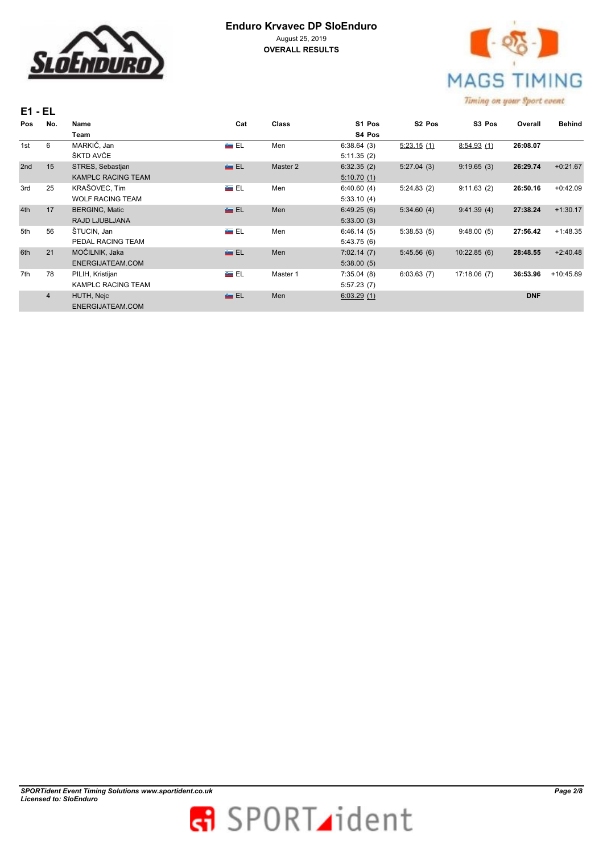



| $E1 - EL$      |                           |               |              |            |                    |                    |            |                                            |
|----------------|---------------------------|---------------|--------------|------------|--------------------|--------------------|------------|--------------------------------------------|
| No.            | Name                      | Cat           | <b>Class</b> | S1 Pos     | S <sub>2</sub> Pos | S <sub>3</sub> Pos | Overall    | <b>Behind</b>                              |
|                | Team                      |               |              | S4 Pos     |                    |                    |            |                                            |
| 6              | MARKIČ, Jan               | A EL          | Men          | 6:38.64(3) | 5:23.15(1)         | 8:54.93(1)         | 26:08.07   |                                            |
|                | ŠKTD AVČE                 |               |              | 5:11.35(2) |                    |                    |            |                                            |
| 15             | STRES, Sebastjan          | <b>ALL</b>    | Master 2     | 6:32.35(2) | 5:27.04(3)         | 9:19.65(3)         | 26:29.74   | $+0:21.67$                                 |
|                | <b>KAMPLC RACING TEAM</b> |               |              | 5:10.70(1) |                    |                    |            |                                            |
| 25             | KRAŠOVEC, Tim             | ên EL         | Men          | 6:40.60(4) | 5:24.83(2)         | 9:11.63(2)         | 26:50.16   | $+0:42.09$                                 |
|                | <b>WOLF RACING TEAM</b>   |               |              | 5:33.10(4) |                    |                    |            |                                            |
| 17             | <b>BERGINC, Matic</b>     | <b>ALL</b>    | Men          | 6:49.25(6) | 5:34.60(4)         | 9:41.39(4)         | 27:38.24   | $+1:30.17$                                 |
|                | RAJD LJUBLJANA            |               |              | 5:33.00(3) |                    |                    |            |                                            |
| 56             | ŠTUCIN, Jan               | án El         | Men          | 6:46.14(5) | 5:38.53(5)         | 9:48.00(5)         | 27:56.42   | $+1:48.35$                                 |
|                | PEDAL RACING TEAM         |               |              | 5:43.75(6) |                    |                    |            |                                            |
| 21             | MOČILNIK, Jaka            | <b>Get EL</b> | Men          | 7:02.14(7) | 5:45.56(6)         | 10:22.85(6)        | 28:48.55   | $+2:40.48$                                 |
|                | ENERGIJATEAM.COM          |               |              | 5:38.00(5) |                    |                    |            |                                            |
| 78             | PILIH, Kristijan          | án EL         | Master 1     | 7:35.04(8) | 6:03.63(7)         | 17:18.06(7)        | 36:53.96   | $+10:45.89$                                |
|                | <b>KAMPLC RACING TEAM</b> |               |              | 5:57.23(7) |                    |                    |            |                                            |
| $\overline{4}$ | HUTH, Nejc                | <b>ALL</b>    | Men          | 6:03.29(1) |                    |                    | <b>DNF</b> |                                            |
|                | ENERGIJATEAM.COM          |               |              |            |                    |                    |            |                                            |
|                |                           |               |              |            |                    |                    |            | constraints over their change in the track |

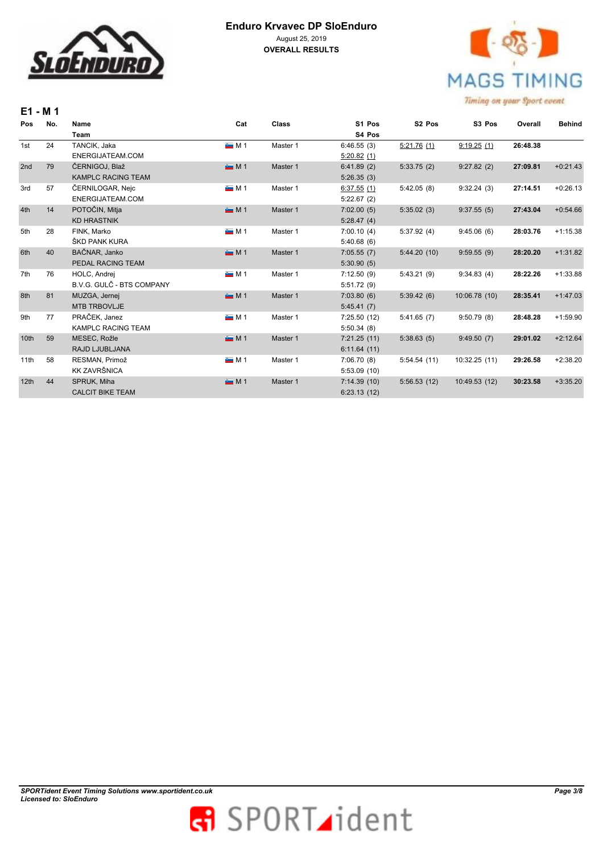



| E1 - M 1         |     |                           |             |          |             |                    |               |          |               |
|------------------|-----|---------------------------|-------------|----------|-------------|--------------------|---------------|----------|---------------|
| Pos              | No. | Name                      | Cat         | Class    | S1 Pos      | S <sub>2</sub> Pos | S3 Pos        | Overall  | <b>Behind</b> |
|                  |     | <b>Team</b>               |             |          | S4 Pos      |                    |               |          |               |
| 1st              | 24  | TANCIK, Jaka              | $\sim$ M 1  | Master 1 | 6:46.55(3)  | 5:21.76(1)         | 9:19.25(1)    | 26:48.38 |               |
|                  |     | ENERGIJATEAM.COM          |             |          | 5:20.82(1)  |                    |               |          |               |
| 2nd              | 79  | ČERNIGOJ, Blaž            | M1          | Master 1 | 6:41.89(2)  | 5:33.75(2)         | 9:27.82(2)    | 27:09.81 | $+0:21.43$    |
|                  |     | <b>KAMPLC RACING TEAM</b> |             |          | 5:26.35(3)  |                    |               |          |               |
| 3rd              | 57  | ČERNILOGAR, Nejc          | <b>M1</b>   | Master 1 | 6:37.55(1)  | 5:42.05(8)         | 9:32.24(3)    | 27:14.51 | $+0:26.13$    |
|                  |     | ENERGIJATEAM.COM          |             |          | 5:22.67(2)  |                    |               |          |               |
| 4th              | 14  | POTOČIN, Mitja            | M1          | Master 1 | 7:02.00(5)  | 5:35.02(3)         | 9:37.55(5)    | 27:43.04 | $+0.54.66$    |
|                  |     | <b>KD HRASTNIK</b>        |             |          | 5:28.47(4)  |                    |               |          |               |
| 5th              | 28  | FINK, Marko               | M1          | Master 1 | 7:00.10(4)  | 5:37.92(4)         | 9:45.06(6)    | 28:03.76 | $+1:15.38$    |
|                  |     | ŠKD PANK KURA             |             |          | 5:40.68(6)  |                    |               |          |               |
| 6th              | 40  | BAČNAR, Janko             | M1          | Master 1 | 7:05.55(7)  | 5:44.20(10)        | 9:59.55(9)    | 28:20.20 | $+1:31.82$    |
|                  |     | PEDAL RACING TEAM         |             |          | 5:30.90(5)  |                    |               |          |               |
| 7th              | 76  | HOLC, Andrej              | M1          | Master 1 | 7:12.50(9)  | 5:43.21(9)         | 9:34.83(4)    | 28:22.26 | $+1:33.88$    |
|                  |     | B.V.G. GULČ - BTS COMPANY |             |          | 5:51.72(9)  |                    |               |          |               |
| 8th              | 81  | MUZGA, Jernej             | <b>EM 1</b> | Master 1 | 7:03.80(6)  | 5:39.42(6)         | 10:06.78 (10) | 28:35.41 | $+1:47.03$    |
|                  |     | <b>MTB TRBOVLJE</b>       |             |          | 5:45.41(7)  |                    |               |          |               |
| 9th              | 77  | PRAČEK, Janez             | <b>M1</b>   | Master 1 | 7:25.50(12) | 5:41.65(7)         | 9:50.79(8)    | 28:48.28 | $+1:59.90$    |
|                  |     | <b>KAMPLC RACING TEAM</b> |             |          | 5:50.34(8)  |                    |               |          |               |
| 10 <sub>th</sub> | 59  | MESEC, Rožle              | <b>EM1</b>  | Master 1 | 7:21.25(11) | 5:38.63(5)         | 9:49.50(7)    | 29:01.02 | $+2:12.64$    |
|                  |     | RAJD LJUBLJANA            |             |          | 6:11.64(11) |                    |               |          |               |
| 11th             | 58  | RESMAN, Primož            | M1          | Master 1 | 7:06.70(8)  | 5:54.54(11)        | 10:32.25(11)  | 29:26.58 | $+2:38.20$    |
|                  |     | <b>KK ZAVRŠNICA</b>       |             |          | 5:53.09(10) |                    |               |          |               |
| 12th             | 44  | SPRUK, Miha               | M1          | Master 1 | 7:14.39(10) | 5:56.53(12)        | 10:49.53 (12) | 30:23.58 | $+3:35.20$    |
|                  |     | <b>CALCIT BIKE TEAM</b>   |             |          | 6:23.13(12) |                    |               |          |               |

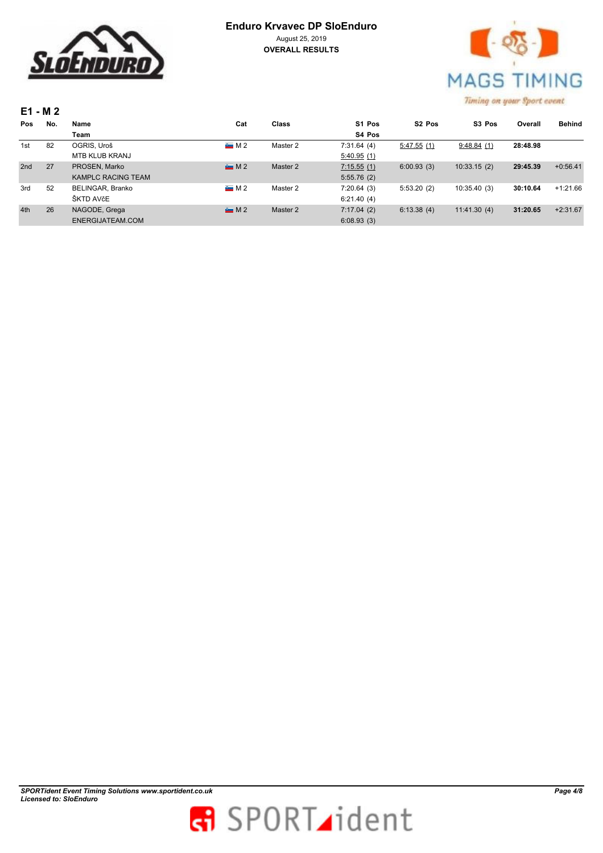



|     | E1 - M 2 |                           |                |          |            |                    | a second come of states of the come of the state of |          |               |
|-----|----------|---------------------------|----------------|----------|------------|--------------------|-----------------------------------------------------|----------|---------------|
| Pos | No.      | Name                      | Cat            | Class    | S1 Pos     | S <sub>2</sub> Pos | S <sub>3</sub> Pos                                  | Overall  | <b>Behind</b> |
|     |          | Team                      |                |          | S4 Pos     |                    |                                                     |          |               |
| 1st | 82       | OGRIS, Uroš               | M <sup>2</sup> | Master 2 | 7:31.64(4) | 5:47.55(1)         | 9:48.84(1)                                          | 28:48.98 |               |
|     |          | <b>MTB KLUB KRANJ</b>     |                |          | 5:40.95(1) |                    |                                                     |          |               |
| 2nd | 27       | PROSEN, Marko             | M <sup>2</sup> | Master 2 | 7:15.55(1) | 6:00.93(3)         | 10:33.15(2)                                         | 29:45.39 | $+0:56.41$    |
|     |          | <b>KAMPLC RACING TEAM</b> |                |          | 5:55.76(2) |                    |                                                     |          |               |
| 3rd | 52       | BELINGAR, Branko          | M <sub>2</sub> | Master 2 | 7:20.64(3) | 5:53.20(2)         | 10:35.40(3)                                         | 30:10.64 | $+1:21.66$    |
|     |          | ŠKTD AVčE                 |                |          | 6:21.40(4) |                    |                                                     |          |               |
| 4th | 26       | NAGODE, Grega             | M <sup>2</sup> | Master 2 | 7:17.04(2) | 6:13.38(4)         | 11:41.30(4)                                         | 31:20.65 | $+2:31.67$    |
|     |          | ENERGIJATEAM.COM          |                |          | 6:08.93(3) |                    |                                                     |          |               |

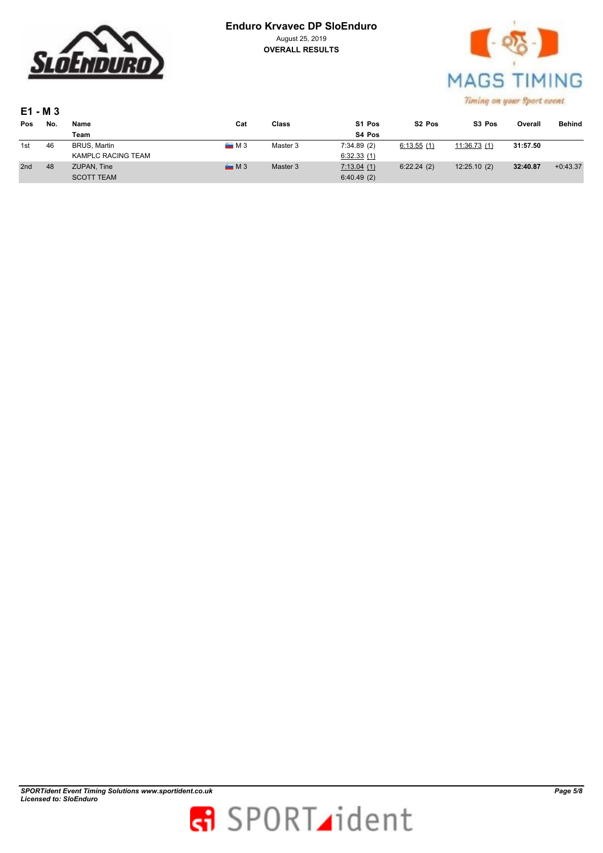

 $-26$ **MAGS TIMING** Timing on your Sport event

| E1 - M 3        |     |                           |                |          |                    |                    |                    |          |               |
|-----------------|-----|---------------------------|----------------|----------|--------------------|--------------------|--------------------|----------|---------------|
| Pos             | No. | Name                      | Cat            | Class    | S <sub>1</sub> Pos | S <sub>2</sub> Pos | S <sub>3</sub> Pos | Overall  | <b>Behind</b> |
|                 |     | Team                      |                |          | S4 Pos             |                    |                    |          |               |
| 1st             | 46  | BRUS, Martin              | M3             | Master 3 | 7:34.89(2)         | 6:13.55(1)         | 11:36.73(1)        | 31:57.50 |               |
|                 |     | <b>KAMPLC RACING TEAM</b> |                |          | 6:32.33(1)         |                    |                    |          |               |
| 2 <sub>nd</sub> | 48  | <b>ZUPAN, Tine</b>        | M <sup>3</sup> | Master 3 | 7:13.04(1)         | 6:22.24(2)         | 12:25.10(2)        | 32:40.87 | $+0:43.37$    |
|                 |     | <b>SCOTT TEAM</b>         |                |          | 6:40.49(2)         |                    |                    |          |               |

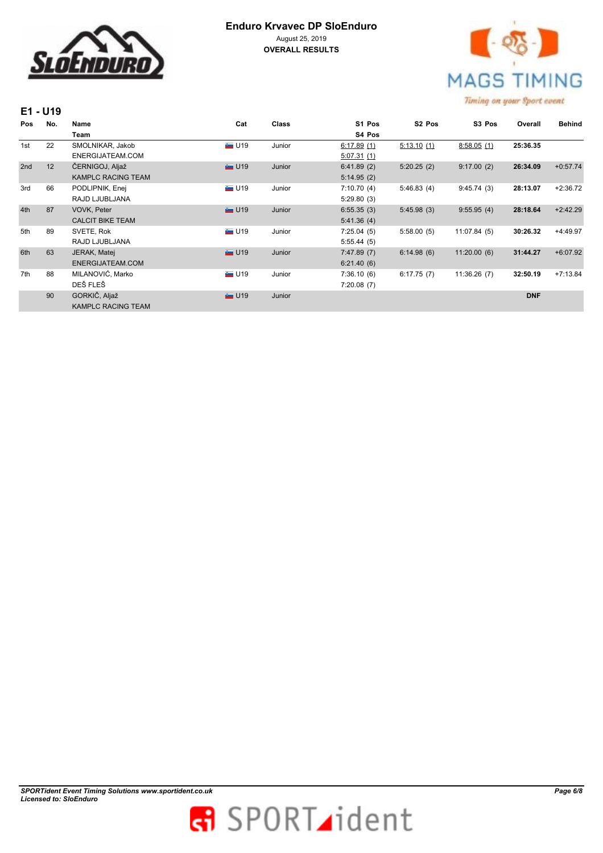



|     | E1 - U19 |                           |                    |              |            |                    |                    |            |               |
|-----|----------|---------------------------|--------------------|--------------|------------|--------------------|--------------------|------------|---------------|
| Pos | No.      | Name                      | Cat                | <b>Class</b> | S1 Pos     | S <sub>2</sub> Pos | S <sub>3</sub> Pos | Overall    | <b>Behind</b> |
|     |          | Team                      |                    |              | S4 Pos     |                    |                    |            |               |
| 1st | 22       | SMOLNIKAR, Jakob          | $\blacksquare$ U19 | Junior       | 6:17.89(1) | 5:13.10(1)         | 8:58.05(1)         | 25:36.35   |               |
|     |          | ENERGIJATEAM.COM          |                    |              | 5:07.31(1) |                    |                    |            |               |
| 2nd | 12       | ČERNIGOJ, Aljaž           | $\sim$ U19         | Junior       | 6:41.89(2) | 5:20.25(2)         | 9:17.00(2)         | 26:34.09   | $+0:57.74$    |
|     |          | <b>KAMPLC RACING TEAM</b> |                    |              | 5:14.95(2) |                    |                    |            |               |
| 3rd | 66       | PODLIPNIK, Enej           | $\blacksquare$ U19 | Junior       | 7:10.70(4) | 5:46.83(4)         | 9:45.74(3)         | 28:13.07   | $+2:36.72$    |
|     |          | RAJD LJUBLJANA            |                    |              | 5:29.80(3) |                    |                    |            |               |
| 4th | 87       | VOVK, Peter               | $\blacksquare$ U19 | Junior       | 6:55.35(3) | 5:45.98(3)         | 9:55.95(4)         | 28:18.64   | $+2:42.29$    |
|     |          | <b>CALCIT BIKE TEAM</b>   |                    |              | 5:41.36(4) |                    |                    |            |               |
| 5th | 89       | SVETE, Rok                | $\blacksquare$ U19 | Junior       | 7:25.04(5) | 5:58.00(5)         | 11:07.84(5)        | 30:26.32   | $+4:49.97$    |
|     |          | RAJD LJUBLJANA            |                    |              | 5:55.44(5) |                    |                    |            |               |
| 6th | 63       | JERAK, Matej              | $\blacksquare$ U19 | Junior       | 7:47.89(7) | 6:14.98(6)         | 11:20.00(6)        | 31:44.27   | $+6:07.92$    |
|     |          | ENERGIJATEAM.COM          |                    |              | 6:21.40(6) |                    |                    |            |               |
| 7th | 88       | MILANOVIĆ, Marko          | $\blacksquare$ U19 | Junior       | 7:36.10(6) | 6:17.75(7)         | 11:36.26(7)        | 32:50.19   | $+7:13.84$    |
|     |          | DEŠ FLEŠ                  |                    |              | 7:20.08(7) |                    |                    |            |               |
|     | 90       | GORKIČ, Aljaž             | $\blacksquare$ U19 | Junior       |            |                    |                    | <b>DNF</b> |               |
|     |          | <b>KAMPLC RACING TEAM</b> |                    |              |            |                    |                    |            |               |

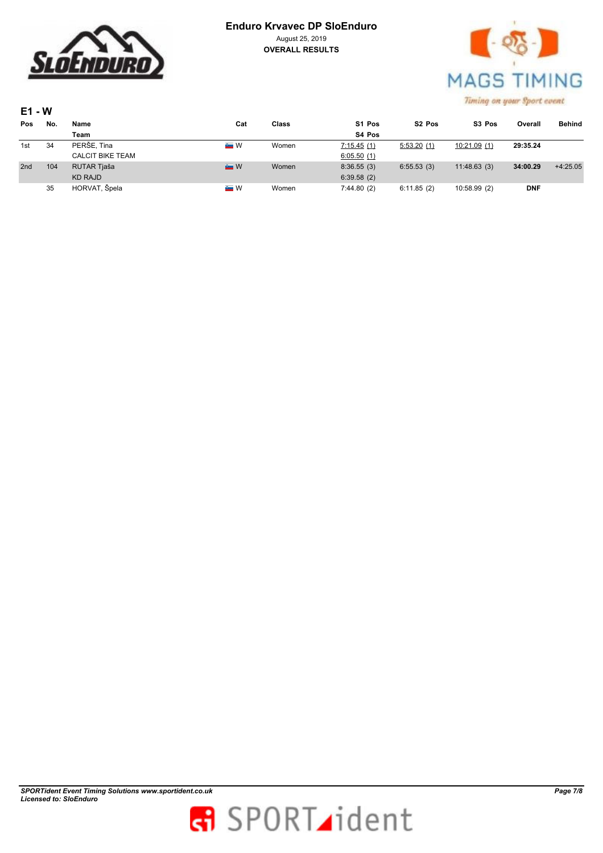



| $E1 - W$ |     |                         |                  |       |            |                    |                    |            |            |  |
|----------|-----|-------------------------|------------------|-------|------------|--------------------|--------------------|------------|------------|--|
| Pos      | No. | Name                    | Cat              | Class | S1 Pos     | S <sub>2</sub> Pos | S <sub>3</sub> Pos | Overall    | Behind     |  |
|          |     | Team                    |                  |       | S4 Pos     |                    |                    |            |            |  |
| 1st      | 34  | PERŠE, Tina             | e W              | Women | 7:15.45(1) | 5:53.20(1)         | 10:21.09(1)        | 29:35.24   |            |  |
|          |     | <b>CALCIT BIKE TEAM</b> |                  |       | 6:05.50(1) |                    |                    |            |            |  |
| 2nd      | 104 | RUTAR Tjaša             | $\blacksquare$ W | Women | 8:36.55(3) | 6:55.53(3)         | 11:48.63(3)        | 34:00.29   | $+4:25.05$ |  |
|          |     | <b>KD RAJD</b>          |                  |       | 6:39.58(2) |                    |                    |            |            |  |
|          | 35  | HORVAT, Špela           | <b>A</b> W       | Women | 7:44.80(2) | 6:11.85(2)         | 10:58.99 (2)       | <b>DNF</b> |            |  |

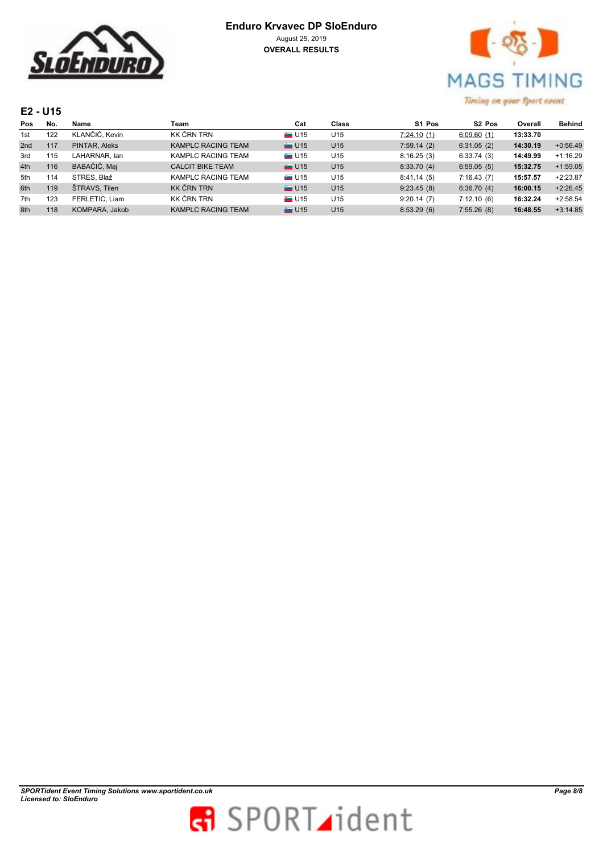

| <b>Enduro Krvavec DP SloEnduro</b> |
|------------------------------------|
| August 25, 2019                    |
| <b>OVERALL RESULTS</b>             |



### **E2 - U15**

| Pos | No. | Name           | Team                      | Cat                | Class           | S1 Pos     | S <sub>2</sub> Pos | Overall  | <b>Behind</b> |
|-----|-----|----------------|---------------------------|--------------------|-----------------|------------|--------------------|----------|---------------|
| 1st | 122 | KLANČIČ. Kevin | KK ČRN TRN                | $\blacksquare$ U15 | U <sub>15</sub> | 7:24.10(1) | 6:09.60(1)         | 13:33.70 |               |
| 2nd | 117 | PINTAR, Aleks  | KAMPLC RACING TEAM        | $\equiv$ U15       | U <sub>15</sub> | 7:59.14(2) | 6:31.05(2)         | 14:30.19 | $+0:56.49$    |
| 3rd | 115 | LAHARNAR, Ian  | KAMPLC RACING TEAM        | $\blacksquare$ U15 | U <sub>15</sub> | 8:16.25(3) | 6:33.74(3)         | 14:49.99 | $+1:16.29$    |
| 4th | 116 | BABAČIČ, Maj   | <b>CALCIT BIKE TEAM</b>   | $\equiv$ U15       | U <sub>15</sub> | 8:33.70(4) | 6:59.05(5)         | 15:32.75 | $+1:59.05$    |
| 5th | 114 | STRES, Blaž    | KAMPLC RACING TEAM        | $\equiv$ U15       | U <sub>15</sub> | 8:41.14(5) | 7:16.43(7)         | 15:57.57 | $+2:23.87$    |
| 6th | 119 | ŠTRAVS, Tilen  | KK ČRN TRN                | $\equiv$ U15       | U <sub>15</sub> | 9:23.45(8) | 6:36.70(4)         | 16:00.15 | $+2:26.45$    |
| 7th | 123 | FERLETIC, Liam | KK ČRN TRN                | <b>EL U15</b>      | U <sub>15</sub> | 9:20.14(7) | 7:12.10(6)         | 16:32.24 | $+2:58.54$    |
| 8th | 118 | KOMPARA, Jakob | <b>KAMPLC RACING TEAM</b> | $\equiv$ U15       | U <sub>15</sub> | 8:53.29(6) | 7:55.26(8)         | 16:48.55 | $+3:14.85$    |

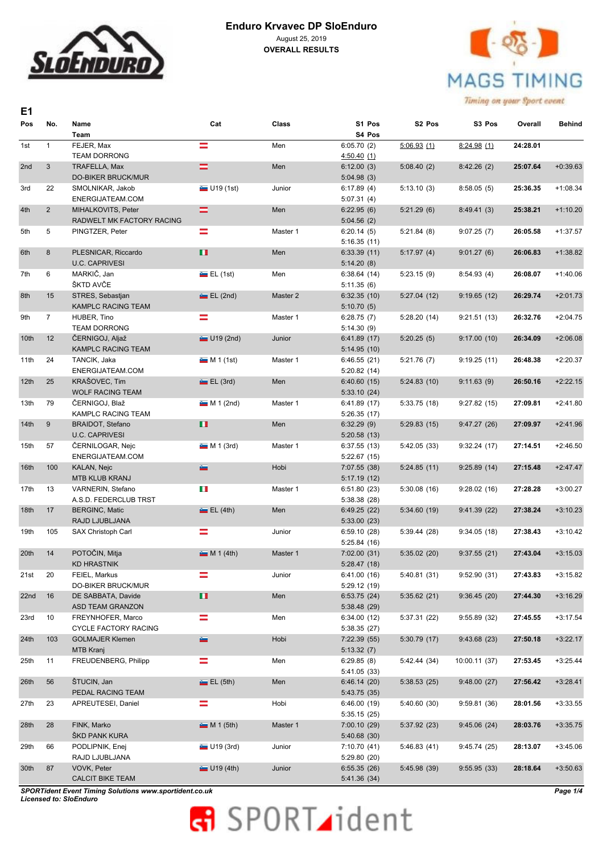



Timing on your Sport event

| E1               |                |                                              |                |          |                             |                    |               |          |               |
|------------------|----------------|----------------------------------------------|----------------|----------|-----------------------------|--------------------|---------------|----------|---------------|
| Pos              | No.            | Name<br>Team                                 | Cat            | Class    | S1 Pos<br>S4 Pos            | S <sub>2</sub> Pos | S3 Pos        | Overall  | <b>Behind</b> |
| 1st              | $\mathbf{1}$   | FEJER, Max                                   | Ξ              | Men      | 6:05.70(2)                  | 5:06.93(1)         | 8:24.98(1)    | 24:28.01 |               |
|                  |                | <b>TEAM DORRONG</b>                          |                |          | 4:50.40(1)                  |                    |               |          |               |
| 2nd              | 3              | TRAFELLA, Max                                | =              | Men      | 6:12.00(3)                  | 5:08.40(2)         | 8:42.26(2)    | 25:07.64 | $+0:39.63$    |
|                  |                | <b>DO-BIKER BRUCK/MUR</b>                    |                |          | 5:04.98(3)                  |                    |               |          |               |
| 3rd              | 22             | SMOLNIKAR, Jakob                             | U19(1st)       | Junior   | 6:17.89(4)                  | 5:13.10(3)         | 8:58.05(5)    | 25:36.35 | $+1:08.34$    |
|                  |                | ENERGIJATEAM.COM                             |                |          | 5:07.31(4)                  |                    |               |          |               |
| 4th              | $\overline{2}$ | MIHALKOVITS, Peter                           | =              | Men      | 6:22.95(6)                  | 5:21.29(6)         | 8:49.41(3)    | 25:38.21 | $+1:10.20$    |
|                  |                | RADWELT MK FACTORY RACING                    |                |          | 5:04.56(2)                  |                    |               |          |               |
| 5th              | 5              | PINGTZER, Peter                              | =              | Master 1 | 6:20.14(5)                  | 5:21.84(8)         | 9:07.25(7)    | 26:05.58 | $+1:37.57$    |
|                  |                |                                              |                |          | 5:16.35(11)                 |                    |               |          |               |
| 6th              | 8              | PLESNICAR, Riccardo<br><b>U.C. CAPRIVESI</b> | п              | Men      | 6:33.39(11)                 | 5:17.97(4)         | 9:01.27(6)    | 26:06.83 | $+1:38.82$    |
|                  | 6              | MARKIČ, Jan                                  |                | Men      | 5:14.20(8)<br>6:38.64(14)   | 5:23.15(9)         | 8:54.93(4)    | 26:08.07 | $+1:40.06$    |
| 7th              |                | ŠKTD AVČE                                    | E(L(1st))      |          | 5:11.35(6)                  |                    |               |          |               |
| 8th              | 15             | STRES, Sebastjan                             | $E = EL (2nd)$ | Master 2 | 6:32.35(10)                 | 5:27.04(12)        | 9:19.65(12)   | 26:29.74 | $+2:01.73$    |
|                  |                | <b>KAMPLC RACING TEAM</b>                    |                |          | 5:10.70(5)                  |                    |               |          |               |
| 9th              | $\overline{7}$ | HUBER, Tino                                  | ═              | Master 1 | 6:28.75(7)                  | 5:28.20(14)        | 9:21.51(13)   | 26:32.76 | $+2:04.75$    |
|                  |                | <b>TEAM DORRONG</b>                          |                |          | 5:14.30(9)                  |                    |               |          |               |
| 10th             | 12             | ČERNIGOJ, Aljaž                              | U19 (2nd)      | Junior   | 6:41.89(17)                 | 5:20.25(5)         | 9:17.00(10)   | 26:34.09 | $+2:06.08$    |
|                  |                | <b>KAMPLC RACING TEAM</b>                    |                |          | 5:14.95(10)                 |                    |               |          |               |
| 11th             | 24             | TANCIK, Jaka                                 | $M 1$ (1st)    | Master 1 | 6:46.55(21)                 | 5:21.76(7)         | 9:19.25(11)   | 26:48.38 | $+2:20.37$    |
|                  |                | ENERGIJATEAM.COM                             |                |          | 5:20.82(14)                 |                    |               |          |               |
| 12 <sub>th</sub> | 25             | KRAŠOVEC, Tim                                | $E = EL(3rd)$  | Men      | 6:40.60(15)                 | 5:24.83(10)        | 9:11.63(9)    | 26:50.16 | $+2:22.15$    |
|                  |                | <b>WOLF RACING TEAM</b>                      |                |          | 5:33.10(24)                 |                    |               |          |               |
| 13th             | 79             | ČERNIGOJ, Blaž                               | $M 1$ (2nd)    | Master 1 | 6:41.89 (17)                | 5:33.75(18)        | 9:27.82(15)   | 27:09.81 | $+2:41.80$    |
|                  |                | KAMPLC RACING TEAM                           |                |          | 5:26.35(17)                 |                    |               |          |               |
| 14 <sub>th</sub> | 9              | <b>BRAIDOT, Stefano</b>                      | п              | Men      | 6:32.29(9)                  | 5:29.83(15)        | 9:47.27(26)   | 27:09.97 | $+2:41.96$    |
|                  |                | <b>U.C. CAPRIVESI</b>                        |                |          | 5:20.58(13)                 |                    |               |          |               |
| 15th             | 57             | ČERNILOGAR, Nejc                             | $M 1$ (3rd)    | Master 1 | 6:37.55(13)                 | 5:42.05(33)        | 9:32.24(17)   | 27:14.51 | $+2:46.50$    |
|                  |                | ENERGIJATEAM.COM                             |                |          | 5:22.67(15)                 |                    |               |          |               |
| 16th             | 100            | KALAN, Nejc                                  | a.             | Hobi     | 7:07.55 (38)                | 5:24.85(11)        | 9:25.89(14)   | 27:15.48 | $+2:47.47$    |
| 17th             | 13             | <b>MTB KLUB KRANJ</b><br>VARNERIN, Stefano   | ч.             | Master 1 | 5:17.19(12)                 | 5:30.08(16)        | 9:28.02(16)   | 27:28.28 | $+3:00.27$    |
|                  |                | A.S.D. FEDERCLUB TRST                        |                |          | 6:51.80(23)<br>5:38.38 (28) |                    |               |          |               |
| 18th             | 17             | <b>BERGINC, Matic</b>                        | $E = EL(4th)$  | Men      | 6:49.25(22)                 | 5:34.60(19)        | 9:41.39(22)   | 27:38.24 | $+3:10.23$    |
|                  |                | RAJD LJUBLJANA                               |                |          | 5:33.00(23)                 |                    |               |          |               |
| 19th             | 105            | SAX Christoph Carl                           | =              | Junior   | 6:59.10(28)                 | 5:39.44(28)        | 9:34.05(18)   | 27:38.43 | $+3:10.42$    |
|                  |                |                                              |                |          | 5:25.84(16)                 |                    |               |          |               |
| 20th             | 14             | POTOČIN, Mitja                               | M 1(4th)       | Master 1 | 7:02.00(31)                 | 5:35.02(20)        | 9:37.55(21)   | 27:43.04 | $+3:15.03$    |
|                  |                | <b>KD HRASTNIK</b>                           |                |          | 5:28.47(18)                 |                    |               |          |               |
| 21st             | 20             | FEIEL, Markus                                | =              | Junior   | 6:41.00 (16)                | 5:40.81(31)        | 9:52.90(31)   | 27:43.83 | $+3:15.82$    |
|                  |                | DO-BIKER BRUCK/MUR                           |                |          | 5:29.12 (19)                |                    |               |          |               |
| 22nd             | 16             | DE SABBATA, Davide                           | O              | Men      | 6:53.75(24)                 | 5:35.62(21)        | 9:36.45(20)   | 27:44.30 | $+3:16.29$    |
|                  |                | ASD TEAM GRANZON                             |                |          | 5:38.48 (29)                |                    |               |          |               |
| 23rd             | 10             | FREYNHOFER, Marco                            | $=$            | Men      | 6:34.00(12)                 | 5:37.31 (22)       | 9:55.89(32)   | 27:45.55 | $+3:17.54$    |
|                  |                | <b>CYCLE FACTORY RACING</b>                  |                |          | 5:38.35(27)                 |                    |               |          |               |
| 24th             | 103            | <b>GOLMAJER Klemen</b>                       | ûm             | Hobi     | 7:22.39(55)                 | 5:30.79(17)        | 9:43.68(23)   | 27:50.18 | $+3:22.17$    |
|                  |                | <b>MTB Kranj</b>                             |                |          | 5:13.32(7)                  |                    |               |          |               |
| 25th             | 11             | FREUDENBERG, Philipp                         | Ξ              | Men      | 6:29.85(8)                  | 5:42.44 (34)       | 10:00.11 (37) | 27:53.45 | $+3:25.44$    |
| 26th             | 56             | ŠTUCIN, Jan                                  | E(L(5th))      | Men      | 5:41.05 (33)<br>6:46.14(20) | 5:38.53(25)        | 9:48.00(27)   | 27:56.42 | $+3:28.41$    |
|                  |                | PEDAL RACING TEAM                            |                |          | 5:43.75 (35)                |                    |               |          |               |
| 27th             | 23             | APREUTESEI, Daniel                           | Ξ              | Hobi     | 6:46.00(19)                 | 5:40.60 (30)       | 9:59.81(36)   | 28:01.56 | $+3:33.55$    |
|                  |                |                                              |                |          | 5:35.15(25)                 |                    |               |          |               |
| 28th             | 28             | FINK, Marko                                  | M 1 (5th)      | Master 1 | 7:00.10(29)                 | 5:37.92(23)        | 9:45.06(24)   | 28:03.76 | $+3:35.75$    |
|                  |                | ŠKD PANK KURA                                |                |          | 5:40.68 (30)                |                    |               |          |               |
| 29th             | 66             | PODLIPNIK, Enej                              | U19(3rd)       | Junior   | 7:10.70 (41)                | 5:46.83(41)        | 9:45.74(25)   | 28:13.07 | $+3:45.06$    |
|                  |                | RAJD LJUBLJANA                               |                |          | 5:29.80 (20)                |                    |               |          |               |
| 30th             | 87             | VOVK, Peter                                  | U19(4th)       | Junior   | 6:55.35(26)                 | 5:45.98 (39)       | 9:55.95(33)   | 28:18.64 | $+3:50.63$    |
|                  |                | <b>CALCIT BIKE TEAM</b>                      |                |          | 5:41.36 (34)                |                    |               |          |               |

*SPORTident Event Timing Solutions www.sportident.co.uk Licensed to: SloEnduro*

# **R** SPORT ident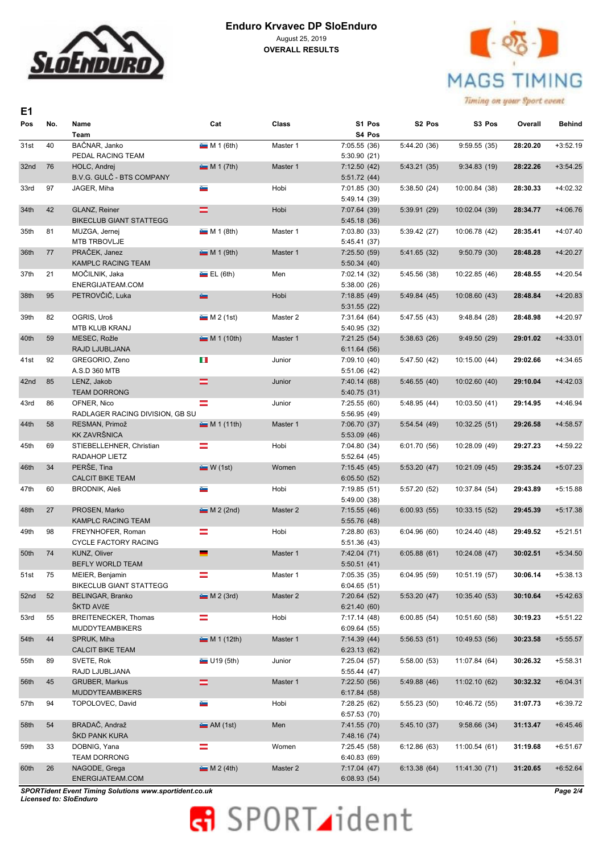



Timing on your Sport event

| E1   |     |                                      |                          |          |                              |                    |               |          |            |
|------|-----|--------------------------------------|--------------------------|----------|------------------------------|--------------------|---------------|----------|------------|
| Pos  | No. | Name<br>Team                         | Cat                      | Class    | S1 Pos<br>S4 Pos             | S <sub>2</sub> Pos | S3 Pos        | Overall  | Behind     |
| 31st | 40  | BAČNAR, Janko                        | $M 1$ (6th)              | Master 1 | 7:05.55(36)                  | 5:44.20 (36)       | 9:59.55(35)   | 28:20.20 | $+3:52.19$ |
|      |     | PEDAL RACING TEAM                    |                          |          | 5:30.90(21)                  |                    |               |          |            |
| 32nd | 76  | HOLC, Andrej                         | M 1 (7th)                | Master 1 | 7:12.50(42)                  | 5:43.21(35)        | 9:34.83(19)   | 28:22.26 | $+3:54.25$ |
|      | 97  | <b>B.V.G. GULČ - BTS COMPANY</b>     | ست                       | Hobi     | 5:51.72(44)                  |                    |               |          |            |
| 33rd |     | JAGER, Miha                          |                          |          | 7:01.85(30)<br>5:49.14 (39)  | 5:38.50(24)        | 10:00.84 (38) | 28:30.33 | $+4:02.32$ |
| 34th | 42  | GLANZ, Reiner                        | =                        | Hobi     | 7:07.64 (39)                 | 5:39.91(29)        | 10:02.04 (39) | 28:34.77 | $+4:06.76$ |
|      |     | <b>BIKECLUB GIANT STATTEGG</b>       |                          |          | 5:45.18 (36)                 |                    |               |          |            |
| 35th | 81  | MUZGA, Jernej                        | $M 1$ (8th)              | Master 1 | 7:03.80 (33)                 | 5:39.42(27)        | 10:06.78 (42) | 28:35.41 | $+4:07.40$ |
|      |     | MTB TRBOVLJE                         |                          |          | 5:45.41 (37)                 |                    |               |          |            |
| 36th | 77  | PRAČEK, Janez                        | $M 1$ (9th)              | Master 1 | 7:25.50(59)                  | 5:41.65(32)        | 9:50.79(30)   | 28:48.28 | $+4:20.27$ |
|      |     | KAMPLC RACING TEAM                   |                          |          | 5:50.34(40)                  |                    |               |          |            |
| 37th | 21  | MOČILNIK, Jaka                       | E(L(6th))                | Men      | 7:02.14 (32)                 | 5:45.56 (38)       | 10:22.85 (46) | 28:48.55 | $+4:20.54$ |
| 38th | 95  | ENERGIJATEAM.COM<br>PETROVČIČ, Luka  | a.                       | Hobi     | 5:38.00(26)<br>7:18.85 (49)  | 5:49.84(45)        | 10:08.60 (43) | 28:48.84 | $+4:20.83$ |
|      |     |                                      |                          |          | 5:31.55(22)                  |                    |               |          |            |
| 39th | 82  | OGRIS, Uroš                          | M 2(1st)                 | Master 2 | 7:31.64 (64)                 | 5:47.55 (43)       | 9:48.84(28)   | 28:48.98 | $+4:20.97$ |
|      |     | <b>MTB KLUB KRANJ</b>                |                          |          | 5:40.95 (32)                 |                    |               |          |            |
| 40th | 59  | MESEC, Rožle                         | M 1 (10th)               | Master 1 | 7:21.25(54)                  | 5:38.63(26)        | 9:49.50(29)   | 29:01.02 | $+4:33.01$ |
|      |     | RAJD LJUBLJANA                       |                          |          | 6:11.64(56)                  |                    |               |          |            |
| 41st | 92  | GREGORIO, Zeno                       | ч.                       | Junior   | 7:09.10 (40)                 | 5:47.50 (42)       | 10:15.00 (44) | 29:02.66 | $+4:34.65$ |
|      |     | A.S.D 360 MTB                        |                          |          | 5:51.06 (42)                 |                    |               |          |            |
| 42nd | 85  | LENZ, Jakob                          | =                        | Junior   | 7:40.14 (68)                 | 5:46.55(40)        | 10:02.60 (40) | 29:10.04 | $+4:42.03$ |
| 43rd | 86  | <b>TEAM DORRONG</b><br>OFNER, Nico   | =                        | Junior   | 5:40.75(31)<br>7:25.55(60)   | 5:48.95(44)        | 10:03.50(41)  | 29:14.95 | $+4:46.94$ |
|      |     | RADLAGER RACING DIVISION, GB SU      |                          |          | 5:56.95 (49)                 |                    |               |          |            |
| 44th | 58  | RESMAN, Primož                       | M 1 (11th)               | Master 1 | 7:06.70 (37)                 | 5:54.54(49)        | 10:32.25 (51) | 29:26.58 | $+4:58.57$ |
|      |     | <b>KK ZAVRŠNICA</b>                  |                          |          | 5:53.09(46)                  |                    |               |          |            |
| 45th | 69  | STIEBELLEHNER, Christian             | ═                        | Hobi     | 7:04.80 (34)                 | 6:01.70 (56)       | 10:28.09 (49) | 29:27.23 | $+4:59.22$ |
|      |     | RADAHOP LIETZ                        |                          |          | 5:52.64(45)                  |                    |               |          |            |
| 46th | 34  | PERŠE, Tina                          | W(1st)                   | Women    | 7:15.45(45)                  | 5:53.20(47)        | 10:21.09 (45) | 29:35.24 | $+5:07.23$ |
|      |     | <b>CALCIT BIKE TEAM</b>              |                          |          | 6:05.50(52)                  |                    |               |          |            |
| 47th | 60  | BRODNIK, Aleš                        | Gas.                     | Hobi     | 7:19.85 (51)<br>5:49.00 (38) | 5:57.20 (52)       | 10:37.84 (54) | 29:43.89 | $+5:15.88$ |
| 48th | 27  | PROSEN, Marko                        | $M 2$ (2nd)              | Master 2 | 7:15.55(46)                  | 6:00.93(55)        | 10:33.15 (52) | 29:45.39 | $+5:17.38$ |
|      |     | <b>KAMPLC RACING TEAM</b>            |                          |          | 5:55.76 (48)                 |                    |               |          |            |
| 49th | 98  | FREYNHOFER, Roman                    | ≕                        | Hobi     | 7:28.80 (63)                 | 6:04.96(60)        | 10:24.40 (48) | 29:49.52 | $+5:21.51$ |
|      |     | <b>CYCLE FACTORY RACING</b>          |                          |          | 5:51.36 (43)                 |                    |               |          |            |
| 50th | 74  | KUNZ, Oliver                         | $\overline{\phantom{a}}$ | Master 1 | 7:42.04 (71)                 | 6:05.88(61)        | 10:24.08 (47) | 30:02.51 | $+5:34.50$ |
|      |     | BEFLY WORLD TEAM                     |                          |          | 5:50.51(41)                  |                    |               |          |            |
| 51st | 75  | MEIER, Benjamin                      | =                        | Master 1 | 7:05.35 (35)                 | 6:04.95(59)        | 10:51.19 (57) | 30:06.14 | $+5:38.13$ |
|      |     | <b>BIKECLUB GIANT STATTEGG</b>       |                          |          | 6:04.65(51)                  |                    |               |          |            |
| 52nd | 52  | <b>BELINGAR, Branko</b><br>ŠKTD AVčE | $M 2$ (3rd)              | Master 2 | 7:20.64(52)<br>6:21.40(60)   | 5:53.20(47)        | 10:35.40 (53) | 30:10.64 | $+5:42.63$ |
| 53rd | 55  | BREITENECKER, Thomas                 | =                        | Hobi     | 7:17.14 (48)                 | 6:00.85(54)        | 10:51.60 (58) | 30:19.23 | $+5:51.22$ |
|      |     | <b>MUDDYTEAMBIKERS</b>               |                          |          | 6:09.64(55)                  |                    |               |          |            |
| 54th | 44  | SPRUK, Miha                          | M 1 (12th)               | Master 1 | 7:14.39(44)                  | 5:56.53(51)        | 10:49.53 (56) | 30:23.58 | $+5:55.57$ |
|      |     | <b>CALCIT BIKE TEAM</b>              |                          |          | 6:23.13(62)                  |                    |               |          |            |
| 55th | 89  | SVETE, Rok                           | $\blacksquare$ U19 (5th) | Junior   | 7:25.04(57)                  | 5:58.00(53)        | 11:07.84 (64) | 30:26.32 | $+5:58.31$ |
|      |     | RAJD LJUBLJANA                       |                          |          | 5:55.44(47)                  |                    |               |          |            |
| 56th | 45  | <b>GRUBER, Markus</b>                | =                        | Master 1 | 7:22.50(56)                  | 5:49.88 (46)       | 11:02.10 (62) | 30:32.32 | $+6:04.31$ |
|      |     | <b>MUDDYTEAMBIKERS</b>               |                          |          | 6:17.84(58)                  |                    |               |          |            |
| 57th | 94  | TOPOLOVEC, David                     | a.                       | Hobi     | 7:28.25 (62)<br>6:57.53(70)  | 5:55.23 (50)       | 10:46.72 (55) | 31:07.73 | +6:39.72   |
| 58th | 54  | BRADAČ, Andraž                       | M(1st)                   | Men      | 7:41.55 (70)                 | 5:45.10(37)        | 9:58.66(34)   | 31:13.47 | $+6:45.46$ |
|      |     | ŠKD PANK KURA                        |                          |          | 7:48.16 (74)                 |                    |               |          |            |
| 59th | 33  | DOBNIG, Yana                         | Ξ                        | Women    | 7:25.45 (58)                 | 6:12.86(63)        | 11:00.54 (61) | 31:19.68 | $+6:51.67$ |
|      |     | <b>TEAM DORRONG</b>                  |                          |          | 6:40.83(69)                  |                    |               |          |            |
| 60th | 26  | NAGODE, Grega                        | M 2(4th)                 | Master 2 | 7:17.04(47)                  | 6:13.38(64)        | 11:41.30 (71) | 31:20.65 | $+6:52.64$ |
|      |     | ENERGIJATEAM.COM                     |                          |          | 6:08.93(54)                  |                    |               |          |            |

*SPORTident Event Timing Solutions www.sportident.co.uk Licensed to: SloEnduro*

# **R** SPORT ident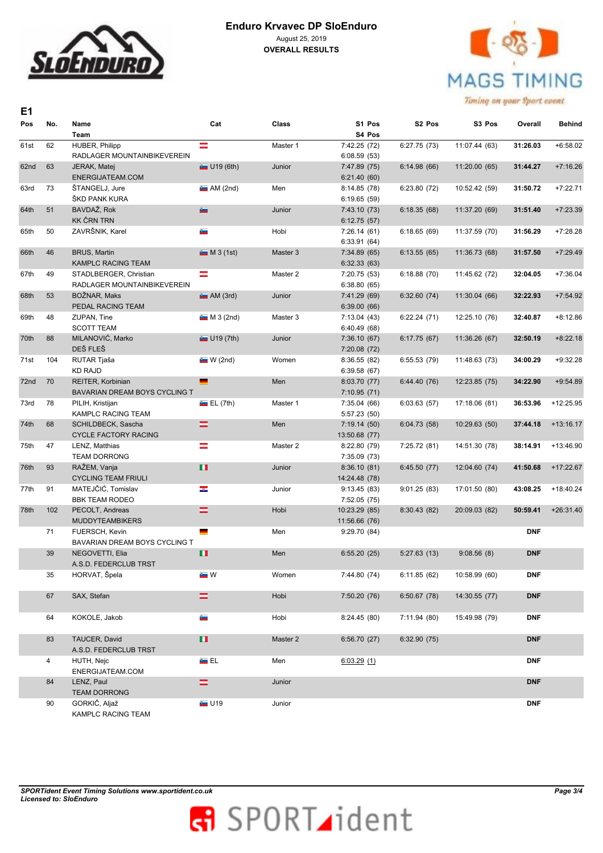



| E <sub>1</sub> |     |                                                                         |                    |          |                                               |                    |               |            |             |
|----------------|-----|-------------------------------------------------------------------------|--------------------|----------|-----------------------------------------------|--------------------|---------------|------------|-------------|
| Pos            | No. | Name<br>Team                                                            | Cat                | Class    | S1 Pos<br>S4 Pos                              | S <sub>2</sub> Pos | S3 Pos        | Overall    | Behind      |
| 61st           | 62  | HUBER, Philipp<br>RADLAGER MOUNTAINBIKEVEREIN                           | ≕                  | Master 1 | 7:42.25 (72)<br>6:08.59(53)                   | 6:27.75(73)        | 11:07.44 (63) | 31:26.03   | $+6:58.02$  |
| 62nd           | 63  | JERAK, Matej<br>ENERGIJATEAM.COM                                        | U19(6th)           | Junior   | 7:47.89 (75)<br>6:21.40(60)                   | 6:14.98(66)        | 11:20.00 (65) | 31:44.27   | $+7:16.26$  |
| 63rd           | 73  | ŠTANGELJ, Jure<br>ŠKD PANK KURA                                         | M(2nd)             | Men      | 8:14.85 (78)<br>6:19.65(59)                   | 6:23.80(72)        | 10:52.42 (59) | 31:50.72   | $+7:22.71$  |
| 64th           | 51  | BAVDAŽ, Rok<br><b>KK ČRN TRN</b>                                        | œ                  | Junior   | 7:43.10 (73)<br>6:12.75(57)                   | 6:18.35(68)        | 11:37.20 (69) | 31:51.40   | $+7:23.39$  |
| 65th           | 50  | ZAVRŠNIK, Karel                                                         | Geo.               | Hobi     | 7:26.14(61)<br>6:33.91(64)                    | 6:18.65(69)        | 11:37.59 (70) | 31:56.29   | $+7:28.28$  |
| 66th           | 46  | <b>BRUS, Martin</b><br>KAMPLC RACING TEAM                               | M3(1st)            | Master 3 | 7:34.89(65)<br>6:32.33(63)                    | 6:13.55(65)        | 11:36.73 (68) | 31:57.50   | $+7:29.49$  |
| 67th           | 49  | STADLBERGER, Christian<br>RADLAGER MOUNTAINBIKEVEREIN                   | =                  | Master 2 | 7:20.75 (53)<br>6:38.80(65)                   | 6:18.88(70)        | 11:45.62 (72) | 32:04.05   | $+7:36.04$  |
| 68th           | 53  | BOŽNAR, Maks<br>PEDAL RACING TEAM                                       | M(3rd)             | Junior   | 7:41.29 (69)                                  | 6:32.60(74)        | 11:30.04 (66) | 32:22.93   | $+7:54.92$  |
| 69th           | 48  | ZUPAN. Tine<br><b>SCOTT TEAM</b>                                        | M3(2nd)            | Master 3 | 6:39.00(66)<br>7:13.04(43)                    | 6:22.24(71)        | 12:25.10 (76) | 32:40.87   | $+8:12.86$  |
| 70th           | 88  | MILANOVIĆ, Marko<br>DEŠ FLEŠ                                            | $\equiv$ U19 (7th) | Junior   | 6:40.49(68)<br>7:36.10(67)                    | 6:17.75(67)        | 11:36.26 (67) | 32:50.19   | $+8:22.18$  |
| 71st           | 104 | RUTAR Tjaša<br><b>KD RAJD</b>                                           | W(2nd)             | Women    | 7:20.08(72)<br>8:36.55(82)                    | 6:55.53(79)        | 11:48.63 (73) | 34:00.29   | $+9:32.28$  |
| 72nd           | 70  | REITER, Korbinian                                                       | $\blacksquare$     | Men      | 6:39.58(67)<br>8:03.70 (77)                   | 6:44.40 (76)       | 12:23.85 (75) | 34:22.90   | $+9:54.89$  |
| 73rd           | 78  | BAVARIAN DREAM BOYS CYCLING T<br>PILIH, Kristijan<br>KAMPLC RACING TEAM | E(L(Tth))          | Master 1 | 7:10.95(71)<br>7:35.04(66)<br>5:57.23 (50)    | 6:03.63(57)        | 17:18.06 (81) | 36:53.96   | $+12:25.95$ |
| 74th           | 68  | SCHILDBECK, Sascha<br><b>CYCLE FACTORY RACING</b>                       | =                  | Men      | 7:19.14(50)                                   | 6:04.73(58)        | 10:29.63 (50) | 37:44.18   | $+13:16.17$ |
| 75th           | 47  | LENZ, Matthias<br><b>TEAM DORRONG</b>                                   | =                  | Master 2 | 13:50.68 (77)<br>8:22.80 (79)<br>7:35.09 (73) | 7:25.72 (81)       | 14:51.30 (78) | 38:14.91   | $+13:46.90$ |
| 76th           | 93  | RAŽEM, Vanja<br><b>CYCLING TEAM FRIULI</b>                              | п                  | Junior   | 8:36.10(81)<br>14:24.48 (78)                  | 6:45.50(77)        | 12:04.60 (74) | 41:50.68   | $+17:22.67$ |
| 77th           | 91  | MATEJČIĆ, Tomislav<br><b>BBK TEAM RODEO</b>                             | <b>STEP</b>        | Junior   | 9:13.45(83)<br>7:52.05 (75)                   | 9:01.25(83)        | 17:01.50 (80) | 43:08.25   | $+18:40.24$ |
| 78th           | 102 | PECOLT, Andreas<br><b>MUDDYTEAMBIKERS</b>                               | $=$                | Hobi     | 10:23.29 (85)                                 | 8:30.43(82)        | 20:09.03 (82) | 50:59.41   | $+26:31.40$ |
|                | 71  | FUERSCH, Kevin<br><b>BAVARIAN DREAM BOYS CYCLING T</b>                  | <u>e a</u>         | Men      | 11:56.66 (76)<br>9:29.70 (84)                 |                    |               | <b>DNF</b> |             |
|                | 39  | NEGOVETTI, Elia                                                         | п                  | Men      | 6:55.20(25)                                   | 5:27.63(13)        | 9:08.56(8)    | <b>DNF</b> |             |
|                | 35  | A.S.D. FEDERCLUB TRST<br>HORVAT, Špela                                  | $\blacksquare$ W   | Women    | 7:44.80 (74)                                  | 6:11.85(62)        | 10:58.99 (60) | <b>DNF</b> |             |
|                | 67  | SAX, Stefan                                                             | =                  | Hobi     | 7:50.20 (76)                                  | 6:50.67(78)        | 14:30.55 (77) | <b>DNF</b> |             |
|                | 64  | KOKOLE, Jakob                                                           | a.                 | Hobi     | 8:24.45(80)                                   | 7:11.94 (80)       | 15:49.98 (79) | <b>DNF</b> |             |
|                | 83  | TAUCER, David<br>A.S.D. FEDERCLUB TRST                                  | п                  | Master 2 | 6:56.70(27)                                   | 6:32.90(75)        |               | <b>DNF</b> |             |
|                | 4   | HUTH, Nejc<br>ENERGIJATEAM.COM                                          | án El              | Men      | 6:03.29(1)                                    |                    |               | <b>DNF</b> |             |
|                | 84  | LENZ, Paul<br><b>TEAM DORRONG</b>                                       | =                  | Junior   |                                               |                    |               | <b>DNF</b> |             |
|                | 90  | GORKIČ, Aljaž<br>KAMPLC RACING TEAM                                     | $\blacksquare$ U19 | Junior   |                                               |                    |               | <b>DNF</b> |             |

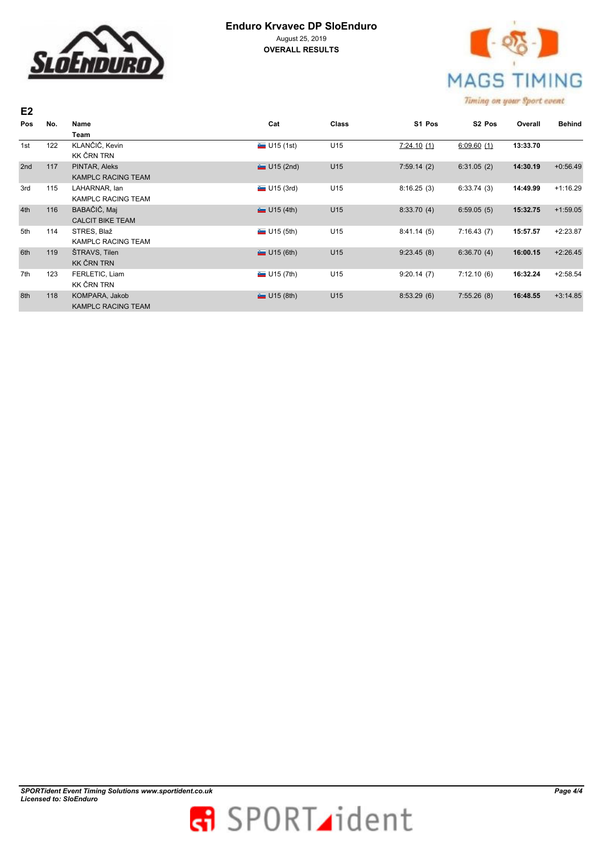

# **Enduro Krvavec DP SloEnduro** August 25, 2019

**OVERALL RESULTS**



| E <sub>2</sub> |     |                           |                          |              |            | contracted our dispersion about a member |          |               |
|----------------|-----|---------------------------|--------------------------|--------------|------------|------------------------------------------|----------|---------------|
| Pos            | No. | Name                      | Cat                      | <b>Class</b> | S1 Pos     | S <sub>2</sub> Pos                       | Overall  | <b>Behind</b> |
|                |     | Team                      |                          |              |            |                                          |          |               |
| 1st            | 122 | KLANČIČ, Kevin            | $\blacksquare$ U15 (1st) | U15          | 7:24.10(1) | 6:09.60(1)                               | 13:33.70 |               |
|                |     | KK ČRN TRN                |                          |              |            |                                          |          |               |
| 2nd            | 117 | PINTAR, Aleks             | $U15$ (2nd)              | U15          | 7:59.14(2) | 6:31.05(2)                               | 14:30.19 | $+0:56.49$    |
|                |     | <b>KAMPLC RACING TEAM</b> |                          |              |            |                                          |          |               |
| 3rd            | 115 | LAHARNAR, lan             | U15 (3rd)                | U15          | 8:16.25(3) | 6:33.74(3)                               | 14:49.99 | $+1:16.29$    |
|                |     | <b>KAMPLC RACING TEAM</b> |                          |              |            |                                          |          |               |
| 4th            | 116 | BABAČIČ, Maj              | U15(4th)                 | U15          | 8:33.70(4) | 6:59.05(5)                               | 15:32.75 | $+1:59.05$    |
|                |     | <b>CALCIT BIKE TEAM</b>   |                          |              |            |                                          |          |               |
| 5th            | 114 | STRES, Blaž               | U15(5th)                 | U15          | 8:41.14(5) | 7:16.43(7)                               | 15:57.57 | $+2:23.87$    |
|                |     | <b>KAMPLC RACING TEAM</b> |                          |              |            |                                          |          |               |
| 6th            | 119 | ŠTRAVS, Tilen             | U15(6th)                 | U15          | 9:23.45(8) | 6:36.70(4)                               | 16:00.15 | $+2:26.45$    |
|                |     | <b>KK ČRN TRN</b>         |                          |              |            |                                          |          |               |
| 7th            | 123 | FERLETIC, Liam            | U15 (7th)                | U15          | 9:20.14(7) | 7:12.10(6)                               | 16:32.24 | $+2:58.54$    |
|                |     | KK ČRN TRN                |                          |              |            |                                          |          |               |
| 8th            | 118 | KOMPARA, Jakob            | U15(8th)                 | U15          | 8:53.29(6) | 7:55.26(8)                               | 16:48.55 | $+3:14.85$    |
|                |     | <b>KAMPLC RACING TEAM</b> |                          |              |            |                                          |          |               |

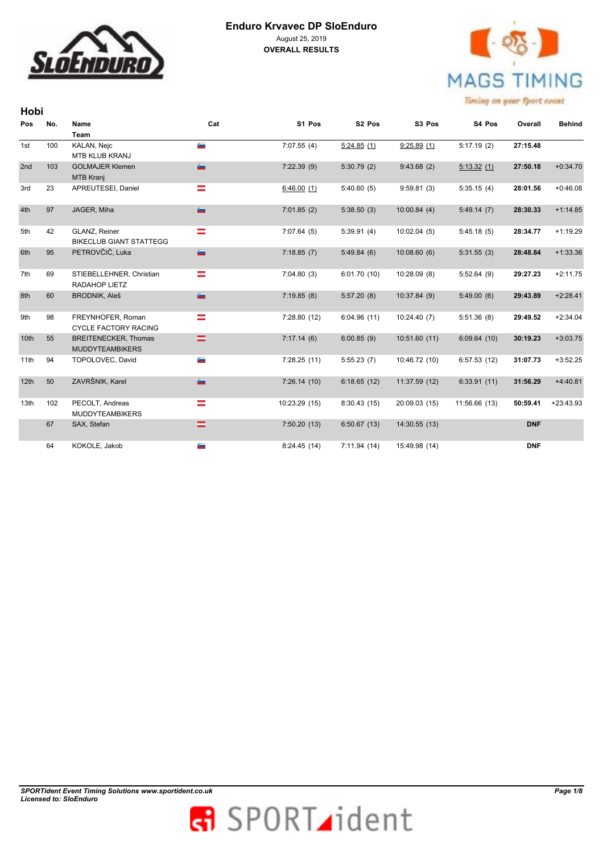

**Hobi** 



| Pos              | No. | Name<br><b>Team</b>                                   | Cat           | S1 Pos        | S <sub>2</sub> Pos | S3 Pos        | S4 Pos        | Overall    | <b>Behind</b> |
|------------------|-----|-------------------------------------------------------|---------------|---------------|--------------------|---------------|---------------|------------|---------------|
| 1st              | 100 | KALAN, Nejc<br><b>MTB KLUB KRANJ</b>                  | G.            | 7:07.55(4)    | 5:24.85(1)         | 9:25.89(1)    | 5:17.19(2)    | 27:15.48   |               |
| 2nd              | 103 | <b>GOLMAJER Klemen</b><br>MTB Kranj                   | <b>George</b> | 7:22.39(9)    | 5:30.79(2)         | 9:43.68(2)    | 5:13.32(1)    | 27:50.18   | $+0:34.70$    |
| 3rd              | 23  | APREUTESEI, Daniel                                    | ≕             | 6:46.00(1)    | 5:40.60(5)         | 9:59.81(3)    | 5:35.15(4)    | 28:01.56   | $+0:46.08$    |
| 4th              | 97  | JAGER, Miha                                           | a.            | 7:01.85(2)    | 5:38.50(3)         | 10:00.84(4)   | 5:49.14(7)    | 28:30.33   | $+1:14.85$    |
| 5th              | 42  | GLANZ, Reiner<br><b>BIKECLUB GIANT STATTEGG</b>       | =             | 7:07.64(5)    | 5:39.91(4)         | 10:02.04(5)   | 5:45.18(5)    | 28:34.77   | $+1:19.29$    |
| 6th              | 95  | PETROVČIČ, Luka                                       | a.            | 7:18.85(7)    | 5:49.84(6)         | 10:08.60(6)   | 5:31.55(3)    | 28:48.84   | $+1:33.36$    |
| 7th              | 69  | STIEBELLEHNER, Christian<br>RADAHOP LIETZ             | ═             | 7:04.80(3)    | 6:01.70(10)        | 10:28.09(8)   | 5:52.64(9)    | 29:27.23   | $+2:11.75$    |
| 8th              | 60  | <b>BRODNIK, Aleš</b>                                  | an i          | 7:19.85(8)    | 5:57.20(8)         | 10:37.84 (9)  | 5:49.00(6)    | 29:43.89   | $+2:28.41$    |
| 9th              | 98  | FREYNHOFER, Roman<br><b>CYCLE FACTORY RACING</b>      | =             | 7:28.80(12)   | 6:04.96(11)        | 10:24.40 (7)  | 5:51.36(8)    | 29:49.52   | $+2:34.04$    |
| 10th             | 55  | <b>BREITENECKER, Thomas</b><br><b>MUDDYTEAMBIKERS</b> | =             | 7:17.14(6)    | 6:00.85(9)         | 10:51.60(11)  | 6:09.64(10)   | 30:19.23   | $+3:03.75$    |
| 11th             | 94  | TOPOLOVEC, David                                      | a.            | 7:28.25(11)   | 5:55.23(7)         | 10:46.72 (10) | 6:57.53(12)   | 31:07.73   | $+3:52.25$    |
| 12 <sub>th</sub> | 50  | ZAVRŠNIK, Karel                                       | a.            | 7:26.14(10)   | 6:18.65(12)        | 11:37.59 (12) | 6:33.91(11)   | 31:56.29   | $+4:40.81$    |
| 13th             | 102 | PECOLT, Andreas<br><b>MUDDYTEAMBIKERS</b>             | =             | 10:23.29 (15) | 8:30.43(15)        | 20:09.03 (15) | 11:56.66 (13) | 50:59.41   | $+23:43.93$   |
|                  | 67  | SAX, Stefan                                           | =             | 7:50.20(13)   | 6:50.67(13)        | 14:30.55(13)  |               | <b>DNF</b> |               |
|                  | 64  | KOKOLE, Jakob                                         | a.            | 8:24.45(14)   | 7:11.94(14)        | 15:49.98 (14) |               | <b>DNF</b> |               |

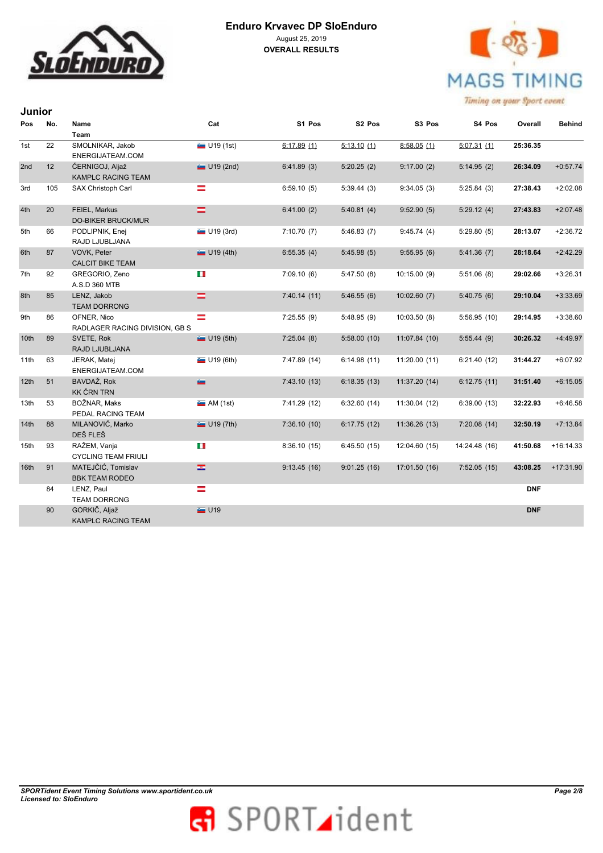



| Junior           |     |                                               |                          |              |                    |               |               |            |               |
|------------------|-----|-----------------------------------------------|--------------------------|--------------|--------------------|---------------|---------------|------------|---------------|
| Pos              | No. | Name                                          | Cat                      | S1 Pos       | S <sub>2</sub> Pos | S3 Pos        | S4 Pos        | Overall    | <b>Behind</b> |
|                  |     | <b>Team</b>                                   |                          |              |                    |               |               |            |               |
| 1st              | 22  | SMOLNIKAR, Jakob<br>ENERGIJATEAM.COM          | $\blacksquare$ U19 (1st) | 6:17.89(1)   | 5:13.10(1)         | 8:58.05(1)    | 5:07.31(1)    | 25:36.35   |               |
| 2 <sub>nd</sub>  | 12  | ČERNIGOJ, Aljaž<br><b>KAMPLC RACING TEAM</b>  | $U19$ (2nd)              | 6:41.89(3)   | 5:20.25(2)         | 9:17.00(2)    | 5:14.95(2)    | 26:34.09   | $+0:57.74$    |
| 3rd              | 105 | SAX Christoph Carl                            | ═                        | 6:59.10(5)   | 5:39.44(3)         | 9:34.05(3)    | 5:25.84(3)    | 27:38.43   | $+2:02.08$    |
| 4th              | 20  | FEIEL, Markus<br><b>DO-BIKER BRUCK/MUR</b>    | =                        | 6:41.00(2)   | 5:40.81(4)         | 9:52.90(5)    | 5:29.12(4)    | 27:43.83   | $+2:07.48$    |
| 5th              | 66  | PODLIPNIK, Enej<br>RAJD LJUBLJANA             | $\blacksquare$ U19 (3rd) | 7:10.70(7)   | 5:46.83(7)         | 9:45.74(4)    | 5:29.80(5)    | 28:13.07   | $+2:36.72$    |
| 6th              | 87  | VOVK, Peter<br><b>CALCIT BIKE TEAM</b>        | $\equiv$ U19 (4th)       | 6:55.35(4)   | 5:45.98(5)         | 9:55.95(6)    | 5:41.36(7)    | 28:18.64   | $+2:42.29$    |
| 7th              | 92  | GREGORIO, Zeno<br>A.S.D 360 MTB               | u li                     | 7:09.10(6)   | 5:47.50(8)         | 10:15.00(9)   | 5:51.06(8)    | 29:02.66   | $+3:26.31$    |
| 8th              | 85  | LENZ, Jakob<br><b>TEAM DORRONG</b>            | =                        | 7:40.14(11)  | 5:46.55(6)         | 10:02.60(7)   | 5:40.75(6)    | 29:10.04   | $+3:33.69$    |
| 9th              | 86  | OFNER, Nico<br>RADLAGER RACING DIVISION, GB S | Ξ                        | 7:25.55(9)   | 5:48.95(9)         | 10:03.50(8)   | 5:56.95(10)   | 29:14.95   | $+3:38.60$    |
| 10 <sub>th</sub> | 89  | SVETE, Rok<br>RAJD LJUBLJANA                  | $\blacksquare$ U19 (5th) | 7:25.04(8)   | 5:58.00(10)        | 11:07.84 (10) | 5:55.44(9)    | 30:26.32   | $+4:49.97$    |
| 11th             | 63  | JERAK, Matej<br>ENERGIJATEAM.COM              | U19(6th)                 | 7:47.89 (14) | 6:14.98(11)        | 11:20.00(11)  | 6:21.40(12)   | 31:44.27   | $+6:07.92$    |
| 12th             | 51  | BAVDAŽ, Rok<br><b>KK ČRN TRN</b>              | ā.                       | 7:43.10(13)  | 6:18.35(13)        | 11:37.20 (14) | 6:12.75(11)   | 31:51.40   | $+6:15.05$    |
| 13th             | 53  | BOŽNAR, Maks<br>PEDAL RACING TEAM             | M(1st)                   | 7:41.29 (12) | 6:32.60(14)        | 11:30.04 (12) | 6:39.00(13)   | 32:22.93   | $+6:46.58$    |
| 14 <sub>th</sub> | 88  | MILANOVIĆ, Marko<br>DEŠ FLEŠ                  | $\Box$ U19 (7th)         | 7:36.10(10)  | 6:17.75(12)        | 11:36.26(13)  | 7:20.08(14)   | 32:50.19   | $+7:13.84$    |
| 15th             | 93  | RAŽEM, Vanja<br><b>CYCLING TEAM FRIULI</b>    | ш                        | 8:36.10(15)  | 6:45.50(15)        | 12:04.60 (15) | 14:24.48 (16) | 41:50.68   | $+16:14.33$   |
| 16th             | 91  | MATEJČIĆ, Tomislav<br><b>BBK TEAM RODEO</b>   | æ.                       | 9:13.45(16)  | 9:01.25(16)        | 17:01.50 (16) | 7:52.05(15)   | 43:08.25   | $+17:31.90$   |
|                  | 84  | LENZ, Paul<br><b>TEAM DORRONG</b>             | ═                        |              |                    |               |               | <b>DNF</b> |               |
|                  | 90  | GORKIČ, Aljaž<br><b>KAMPLC RACING TEAM</b>    | $\blacksquare$ U19       |              |                    |               |               | <b>DNF</b> |               |

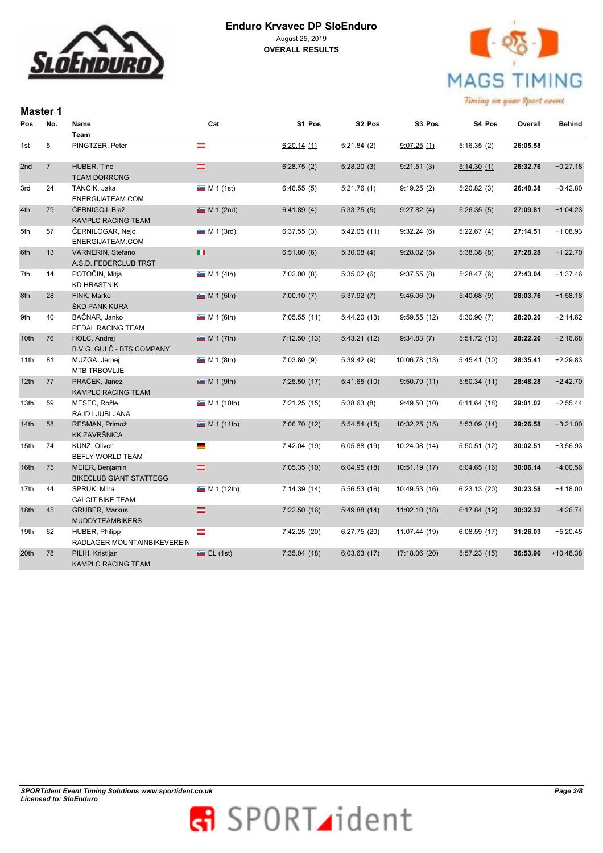



|      | <b>Master 1</b> |                                                   |             |              |             |               |             |          |               |
|------|-----------------|---------------------------------------------------|-------------|--------------|-------------|---------------|-------------|----------|---------------|
| Pos  | No.             | Name                                              | Cat         | S1 Pos       | S2 Pos      | S3 Pos        | S4 Pos      | Overall  | <b>Behind</b> |
|      |                 | <b>Team</b>                                       |             |              |             |               |             |          |               |
| 1st  | 5               | PINGTZER, Peter                                   | $\equiv$    | 6:20.14(1)   | 5:21.84(2)  | 9:07.25(1)    | 5:16.35(2)  | 26:05.58 |               |
| 2nd  | $\overline{7}$  | HUBER, Tino<br><b>TEAM DORRONG</b>                | $=$         | 6:28.75(2)   | 5:28.20(3)  | 9:21.51(3)    | 5:14.30(1)  | 26:32.76 | $+0:27.18$    |
| 3rd  | 24              | TANCIK, Jaka<br>ENERGIJATEAM.COM                  | $M 1$ (1st) | 6:46.55(5)   | 5:21.76(1)  | 9:19.25(2)    | 5:20.82(3)  | 26:48.38 | $+0:42.80$    |
| 4th  | 79              | ČERNIGOJ, Blaž<br>KAMPLC RACING TEAM              | $M 1$ (2nd) | 6:41.89(4)   | 5:33.75(5)  | 9:27.82(4)    | 5:26.35(5)  | 27:09.81 | $+1:04.23$    |
| 5th  | 57              | ČERNILOGAR, Nejc<br>ENERGIJATEAM.COM              | $M 1$ (3rd) | 6:37.55(3)   | 5:42.05(11) | 9:32.24(6)    | 5:22.67(4)  | 27:14.51 | $+1:08.93$    |
| 6th  | 13              | VARNERIN, Stefano<br>A.S.D. FEDERCLUB TRST        | п           | 6:51.80(6)   | 5:30.08(4)  | 9:28.02(5)    | 5:38.38(8)  | 27:28.28 | $+1:22.70$    |
| 7th  | 14              | POTOČIN, Mitja<br><b>KD HRASTNIK</b>              | M 1 (4th)   | 7:02.00(8)   | 5:35.02(6)  | 9:37.55(8)    | 5:28.47(6)  | 27:43.04 | $+1:37.46$    |
| 8th  | 28              | FINK, Marko<br>ŠKD PANK KURA                      | M 1 (5th)   | 7:00.10(7)   | 5:37.92(7)  | 9:45.06(9)    | 5:40.68(9)  | 28:03.76 | $+1:58.18$    |
| 9th  | 40              | BAČNAR, Janko<br>PEDAL RACING TEAM                | M 1 (6th)   | 7:05.55(11)  | 5:44.20(13) | 9:59.55(12)   | 5:30.90(7)  | 28:20.20 | $+2:14.62$    |
| 10th | 76              | HOLC, Andrej<br>B.V.G. GULČ - BTS COMPANY         | M 1 (7th)   | 7:12.50(13)  | 5:43.21(12) | 9:34.83(7)    | 5:51.72(13) | 28:22.26 | $+2:16.68$    |
| 11th | 81              | MUZGA, Jernej<br><b>MTB TRBOVLJE</b>              | M 1 (8th)   | 7:03.80(9)   | 5:39.42 (9) | 10:06.78 (13) | 5:45.41(10) | 28:35.41 | $+2:29.83$    |
| 12th | 77              | PRAČEK, Janez<br><b>KAMPLC RACING TEAM</b>        | $M 1$ (9th) | 7:25.50(17)  | 5:41.65(10) | 9:50.79(11)   | 5:50.34(11) | 28:48.28 | $+2:42.70$    |
| 13th | 59              | MESEC, Rožle<br>RAJD LJUBLJANA                    | M 1 (10th)  | 7:21.25(15)  | 5:38.63(8)  | 9:49.50(10)   | 6:11.64(18) | 29:01.02 | $+2:55.44$    |
| 14th | 58              | RESMAN, Primož<br><b>KK ZAVRŠNICA</b>             | M (11th)    | 7:06.70 (12) | 5:54.54(15) | 10:32.25 (15) | 5:53.09(14) | 29:26.58 | $+3:21.00$    |
| 15th | 74              | <b>KUNZ, Oliver</b><br>BEFLY WORLD TEAM           | ▀           | 7:42.04 (19) | 6:05.88(19) | 10:24.08 (14) | 5:50.51(12) | 30:02.51 | $+3:56.93$    |
| 16th | 75              | MEIER, Benjamin<br><b>BIKECLUB GIANT STATTEGG</b> | $=$         | 7:05.35(10)  | 6:04.95(18) | 10:51.19 (17) | 6:04.65(16) | 30:06.14 | $+4:00.56$    |
| 17th | 44              | SPRUK, Miha<br><b>CALCIT BIKE TEAM</b>            | M 1 (12th)  | 7:14.39(14)  | 5:56.53(16) | 10:49.53 (16) | 6:23.13(20) | 30:23.58 | $+4:18.00$    |
| 18th | 45              | <b>GRUBER, Markus</b><br><b>MUDDYTEAMBIKERS</b>   | =           | 7:22.50(16)  | 5:49.88(14) | 11:02.10(18)  | 6:17.84(19) | 30:32.32 | $+4:26.74$    |
| 19th | 62              | HUBER, Philipp<br>RADLAGER MOUNTAINBIKEVEREIN     | Ξ           | 7:42.25 (20) | 6:27.75(20) | 11:07.44 (19) | 6:08.59(17) | 31:26.03 | $+5:20.45$    |
| 20th | 78              | PILIH, Kristijan<br><b>KAMPLC RACING TEAM</b>     | E(L(1st))   | 7:35.04(18)  | 6:03.63(17) | 17:18.06 (20) | 5:57.23(15) | 36:53.96 | $+10:48.38$   |

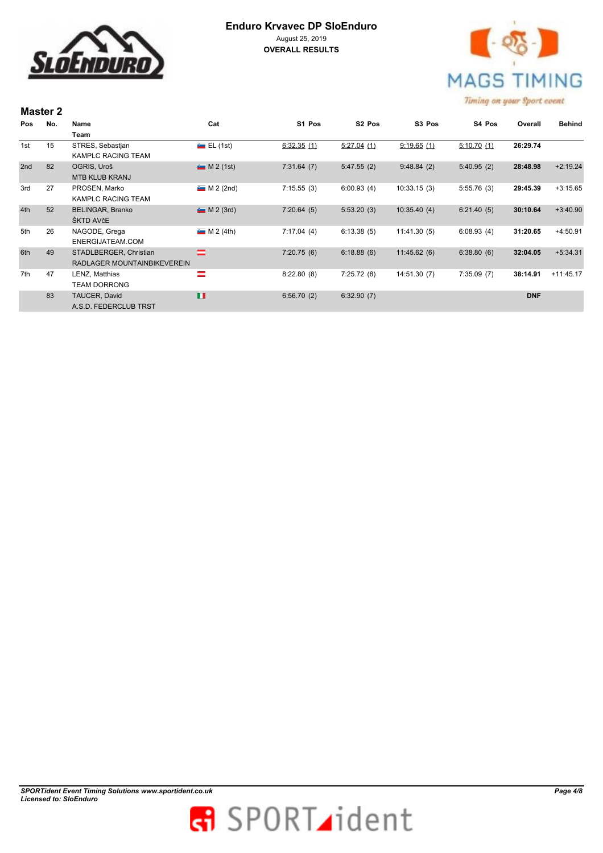

**Master 2** 



|     | $N = 1$ |                             |               |            |                    |                    |            |            |               |  |  |
|-----|---------|-----------------------------|---------------|------------|--------------------|--------------------|------------|------------|---------------|--|--|
| Pos | No.     | Name                        | Cat           | S1 Pos     | S <sub>2</sub> Pos | S <sub>3</sub> Pos | S4 Pos     | Overall    | <b>Behind</b> |  |  |
|     |         | Team                        |               |            |                    |                    |            |            |               |  |  |
| 1st | 15      | STRES, Sebastjan            | $E = EL(1st)$ | 6:32.35(1) | 5:27.04(1)         | 9:19.65(1)         | 5:10.70(1) | 26:29.74   |               |  |  |
|     |         | KAMPLC RACING TEAM          |               |            |                    |                    |            |            |               |  |  |
| 2nd | 82      | OGRIS, Uroš                 | $M 2$ (1st)   | 7:31.64(7) | 5:47.55(2)         | 9:48.84(2)         | 5:40.95(2) | 28:48.98   | $+2:19.24$    |  |  |
|     |         | <b>MTB KLUB KRANJ</b>       |               |            |                    |                    |            |            |               |  |  |
| 3rd | 27      | PROSEN, Marko               | $M 2$ (2nd)   | 7:15.55(3) | 6:00.93(4)         | 10:33.15(3)        | 5:55.76(3) | 29:45.39   | $+3:15.65$    |  |  |
|     |         | KAMPLC RACING TEAM          |               |            |                    |                    |            |            |               |  |  |
| 4th | 52      | <b>BELINGAR, Branko</b>     | $M 2$ (3rd)   | 7:20.64(5) | 5:53.20(3)         | 10:35.40(4)        | 6:21.40(5) | 30:10.64   | $+3:40.90$    |  |  |
|     |         | ŠKTD AVčE                   |               |            |                    |                    |            |            |               |  |  |
| 5th | 26      | NAGODE, Grega               | M 2(4th)      | 7:17.04(4) | 6:13.38(5)         | 11:41.30(5)        | 6:08.93(4) | 31:20.65   | $+4:50.91$    |  |  |
|     |         | ENERGIJATEAM.COM            |               |            |                    |                    |            |            |               |  |  |
| 6th | 49      | STADLBERGER, Christian      | ⋍             | 7:20.75(6) | 6:18.88(6)         | 11:45.62(6)        | 6:38.80(6) | 32:04.05   | $+5:34.31$    |  |  |
|     |         | RADLAGER MOUNTAINBIKEVEREIN |               |            |                    |                    |            |            |               |  |  |
| 7th | 47      | LENZ, Matthias              | $=$           | 8:22.80(8) | 7:25.72(8)         | 14:51.30(7)        | 7:35.09(7) | 38:14.91   | $+11:45.17$   |  |  |
|     |         | <b>TEAM DORRONG</b>         |               |            |                    |                    |            |            |               |  |  |
|     | 83      | TAUCER, David               | п             | 6:56.70(2) | 6:32.90(7)         |                    |            | <b>DNF</b> |               |  |  |
|     |         | A.S.D. FEDERCLUB TRST       |               |            |                    |                    |            |            |               |  |  |
|     |         |                             |               |            |                    |                    |            |            |               |  |  |

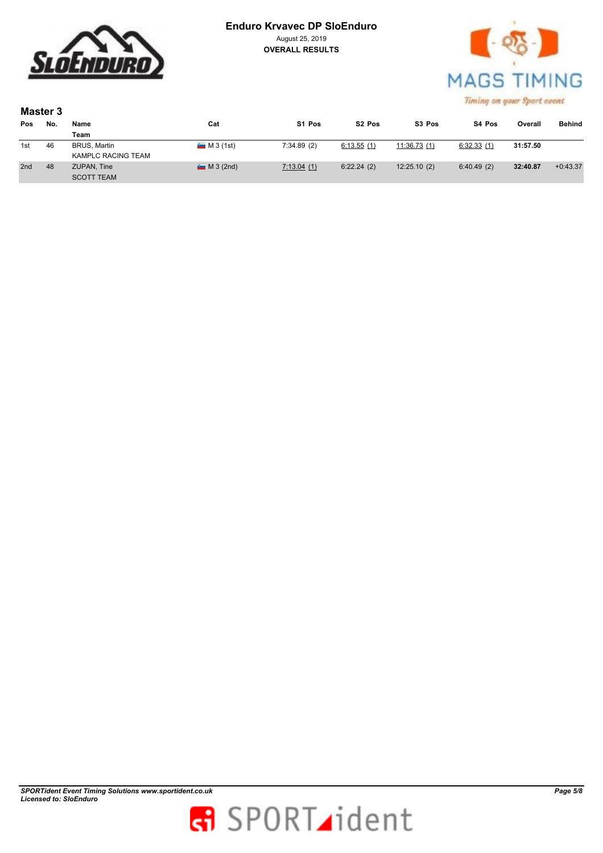

#### **Enduro Krvavec DP SloEnduro** August 25, 2019

**OVERALL RESULTS**



|     | Master 3 |                           |            |            |                    |                    |            |          |               |  |  |  |
|-----|----------|---------------------------|------------|------------|--------------------|--------------------|------------|----------|---------------|--|--|--|
| Pos | No.      | Name                      | Cat        | S1 Pos     | S <sub>2</sub> Pos | S <sub>3</sub> Pos | S4 Pos     | Overall  | <b>Behind</b> |  |  |  |
|     |          | Team                      |            |            |                    |                    |            |          |               |  |  |  |
| 1st | 46       | <b>BRUS, Martin</b>       | M3(1st)    | 7:34.89(2) | 6:13.55(1)         | 11:36.73(1)        | 6:32.33(1) | 31:57.50 |               |  |  |  |
|     |          | <b>KAMPLC RACING TEAM</b> |            |            |                    |                    |            |          |               |  |  |  |
| 2nd | 48       | ZUPAN, Tine               | $M3$ (2nd) | 7:13.04(1) | 6:22.24(2)         | 12:25.10(2)        | 6:40.49(2) | 32:40.87 | $+0:43.37$    |  |  |  |
|     |          | <b>SCOTT TEAM</b>         |            |            |                    |                    |            |          |               |  |  |  |

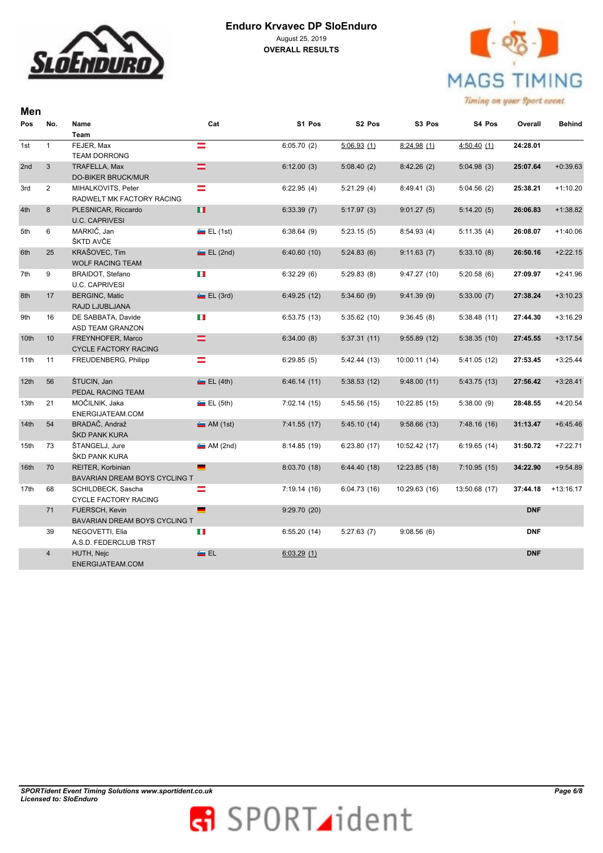

**Men** 



| No.            | Name                                                           | Cat                                                                                                                                                                                                                                                                                                             | S1 Pos                                                                                                                                                                  |                                                                                                                                     |                                                                                                             |                                                                                                       | Overall                                                                             | Behind                                                                                                         |
|----------------|----------------------------------------------------------------|-----------------------------------------------------------------------------------------------------------------------------------------------------------------------------------------------------------------------------------------------------------------------------------------------------------------|-------------------------------------------------------------------------------------------------------------------------------------------------------------------------|-------------------------------------------------------------------------------------------------------------------------------------|-------------------------------------------------------------------------------------------------------------|-------------------------------------------------------------------------------------------------------|-------------------------------------------------------------------------------------|----------------------------------------------------------------------------------------------------------------|
|                | Team                                                           |                                                                                                                                                                                                                                                                                                                 |                                                                                                                                                                         |                                                                                                                                     |                                                                                                             |                                                                                                       |                                                                                     |                                                                                                                |
| $\mathbf{1}$   | FEJER, Max                                                     | =                                                                                                                                                                                                                                                                                                               | 6:05.70(2)                                                                                                                                                              | 5:06.93(1)                                                                                                                          | 8:24.98(1)                                                                                                  | 4:50.40(1)                                                                                            | 24:28.01                                                                            |                                                                                                                |
|                | <b>TEAM DORRONG</b>                                            |                                                                                                                                                                                                                                                                                                                 |                                                                                                                                                                         |                                                                                                                                     |                                                                                                             |                                                                                                       |                                                                                     |                                                                                                                |
| 3              | TRAFELLA, Max                                                  |                                                                                                                                                                                                                                                                                                                 | 6:12.00(3)                                                                                                                                                              | 5:08.40(2)                                                                                                                          | 8:42.26(2)                                                                                                  | 5:04.98(3)                                                                                            | 25:07.64                                                                            | $+0:39.63$                                                                                                     |
|                | <b>DO-BIKER BRUCK/MUR</b>                                      |                                                                                                                                                                                                                                                                                                                 |                                                                                                                                                                         |                                                                                                                                     |                                                                                                             |                                                                                                       |                                                                                     |                                                                                                                |
| $\overline{2}$ | MIHALKOVITS, Peter                                             | ═                                                                                                                                                                                                                                                                                                               | 6:22.95(4)                                                                                                                                                              | 5:21.29(4)                                                                                                                          | 8:49.41(3)                                                                                                  | 5:04.56(2)                                                                                            | 25:38.21                                                                            | $+1:10.20$                                                                                                     |
|                | RADWELT MK FACTORY RACING                                      |                                                                                                                                                                                                                                                                                                                 |                                                                                                                                                                         |                                                                                                                                     |                                                                                                             |                                                                                                       |                                                                                     |                                                                                                                |
| 8              | PLESNICAR, Riccardo                                            | п                                                                                                                                                                                                                                                                                                               | 6:33.39(7)                                                                                                                                                              | 5:17.97(3)                                                                                                                          | 9:01.27(5)                                                                                                  | 5:14.20(5)                                                                                            | 26:06.83                                                                            | $+1:38.82$                                                                                                     |
|                | <b>U.C. CAPRIVESI</b>                                          |                                                                                                                                                                                                                                                                                                                 |                                                                                                                                                                         |                                                                                                                                     |                                                                                                             |                                                                                                       |                                                                                     |                                                                                                                |
| 6              | MARKIČ, Jan                                                    | $E = EL(1st)$                                                                                                                                                                                                                                                                                                   | 6:38.64(9)                                                                                                                                                              | 5:23.15(5)                                                                                                                          | 8:54.93(4)                                                                                                  | 5:11.35(4)                                                                                            | 26:08.07                                                                            | $+1:40.06$                                                                                                     |
|                | ŠKTD AVČE                                                      |                                                                                                                                                                                                                                                                                                                 |                                                                                                                                                                         |                                                                                                                                     |                                                                                                             |                                                                                                       |                                                                                     |                                                                                                                |
| 25             | KRAŠOVEC, Tim                                                  | E(L (2nd))                                                                                                                                                                                                                                                                                                      | 6:40.60(10)                                                                                                                                                             | 5:24.83(6)                                                                                                                          | 9:11.63(7)                                                                                                  | 5:33.10(8)                                                                                            | 26:50.16                                                                            | $+2:22.15$                                                                                                     |
|                | <b>WOLF RACING TEAM</b>                                        |                                                                                                                                                                                                                                                                                                                 |                                                                                                                                                                         |                                                                                                                                     |                                                                                                             |                                                                                                       |                                                                                     |                                                                                                                |
| 9              | BRAIDOT, Stefano                                               | ш                                                                                                                                                                                                                                                                                                               | 6:32.29(6)                                                                                                                                                              | 5:29.83(8)                                                                                                                          | 9:47.27(10)                                                                                                 | 5:20.58(6)                                                                                            | 27:09.97                                                                            | $+2:41.96$                                                                                                     |
|                | <b>U.C. CAPRIVESI</b>                                          |                                                                                                                                                                                                                                                                                                                 |                                                                                                                                                                         |                                                                                                                                     |                                                                                                             |                                                                                                       |                                                                                     |                                                                                                                |
| 17             | <b>BERGINC, Matic</b>                                          | $E = EL(3rd)$                                                                                                                                                                                                                                                                                                   | 6:49.25(12)                                                                                                                                                             | 5:34.60(9)                                                                                                                          | 9:41.39(9)                                                                                                  | 5:33.00(7)                                                                                            | 27:38.24                                                                            | $+3:10.23$                                                                                                     |
|                | RAJD LJUBLJANA                                                 |                                                                                                                                                                                                                                                                                                                 |                                                                                                                                                                         |                                                                                                                                     |                                                                                                             |                                                                                                       |                                                                                     |                                                                                                                |
| 16             | DE SABBATA, Davide                                             | ш                                                                                                                                                                                                                                                                                                               | 6:53.75(13)                                                                                                                                                             | 5:35.62(10)                                                                                                                         | 9:36.45(8)                                                                                                  | 5:38.48(11)                                                                                           | 27:44.30                                                                            | $+3:16.29$                                                                                                     |
|                | ASD TEAM GRANZON                                               |                                                                                                                                                                                                                                                                                                                 |                                                                                                                                                                         |                                                                                                                                     |                                                                                                             |                                                                                                       |                                                                                     |                                                                                                                |
| 10             | FREYNHOFER, Marco                                              |                                                                                                                                                                                                                                                                                                                 | 6:34.00(8)                                                                                                                                                              | 5:37.31(11)                                                                                                                         | 9:55.89(12)                                                                                                 | 5:38.35(10)                                                                                           | 27:45.55                                                                            | $+3:17.54$                                                                                                     |
|                | <b>CYCLE FACTORY RACING</b>                                    |                                                                                                                                                                                                                                                                                                                 |                                                                                                                                                                         |                                                                                                                                     |                                                                                                             |                                                                                                       |                                                                                     |                                                                                                                |
| 11             | FREUDENBERG, Philipp                                           |                                                                                                                                                                                                                                                                                                                 | 6:29.85(5)                                                                                                                                                              | 5:42.44(13)                                                                                                                         | 10:00.11(14)                                                                                                | 5:41.05(12)                                                                                           | 27:53.45                                                                            | $+3:25.44$                                                                                                     |
|                |                                                                |                                                                                                                                                                                                                                                                                                                 |                                                                                                                                                                         |                                                                                                                                     |                                                                                                             |                                                                                                       |                                                                                     |                                                                                                                |
|                |                                                                |                                                                                                                                                                                                                                                                                                                 |                                                                                                                                                                         |                                                                                                                                     |                                                                                                             |                                                                                                       |                                                                                     | $+3:28.41$                                                                                                     |
|                |                                                                |                                                                                                                                                                                                                                                                                                                 |                                                                                                                                                                         |                                                                                                                                     |                                                                                                             |                                                                                                       |                                                                                     |                                                                                                                |
|                |                                                                |                                                                                                                                                                                                                                                                                                                 |                                                                                                                                                                         | 5:45.56(15)                                                                                                                         | 10:22.85(15)                                                                                                | 5:38.00(9)                                                                                            |                                                                                     | $+4:20.54$                                                                                                     |
|                |                                                                |                                                                                                                                                                                                                                                                                                                 |                                                                                                                                                                         |                                                                                                                                     |                                                                                                             |                                                                                                       |                                                                                     |                                                                                                                |
|                |                                                                |                                                                                                                                                                                                                                                                                                                 |                                                                                                                                                                         |                                                                                                                                     |                                                                                                             |                                                                                                       |                                                                                     | $+6:45.46$                                                                                                     |
|                |                                                                |                                                                                                                                                                                                                                                                                                                 |                                                                                                                                                                         |                                                                                                                                     |                                                                                                             |                                                                                                       |                                                                                     |                                                                                                                |
|                |                                                                |                                                                                                                                                                                                                                                                                                                 |                                                                                                                                                                         |                                                                                                                                     |                                                                                                             |                                                                                                       |                                                                                     | $+7:22.71$                                                                                                     |
|                |                                                                |                                                                                                                                                                                                                                                                                                                 |                                                                                                                                                                         |                                                                                                                                     |                                                                                                             |                                                                                                       |                                                                                     |                                                                                                                |
|                |                                                                |                                                                                                                                                                                                                                                                                                                 |                                                                                                                                                                         |                                                                                                                                     |                                                                                                             |                                                                                                       |                                                                                     | $+9:54.89$                                                                                                     |
|                |                                                                |                                                                                                                                                                                                                                                                                                                 |                                                                                                                                                                         |                                                                                                                                     |                                                                                                             |                                                                                                       |                                                                                     |                                                                                                                |
|                |                                                                |                                                                                                                                                                                                                                                                                                                 |                                                                                                                                                                         |                                                                                                                                     |                                                                                                             |                                                                                                       |                                                                                     | $+13:16.17$                                                                                                    |
|                |                                                                |                                                                                                                                                                                                                                                                                                                 |                                                                                                                                                                         |                                                                                                                                     |                                                                                                             |                                                                                                       |                                                                                     |                                                                                                                |
|                |                                                                |                                                                                                                                                                                                                                                                                                                 |                                                                                                                                                                         |                                                                                                                                     |                                                                                                             |                                                                                                       |                                                                                     |                                                                                                                |
|                |                                                                |                                                                                                                                                                                                                                                                                                                 |                                                                                                                                                                         |                                                                                                                                     |                                                                                                             |                                                                                                       |                                                                                     |                                                                                                                |
|                |                                                                |                                                                                                                                                                                                                                                                                                                 |                                                                                                                                                                         |                                                                                                                                     |                                                                                                             |                                                                                                       |                                                                                     |                                                                                                                |
|                |                                                                |                                                                                                                                                                                                                                                                                                                 |                                                                                                                                                                         |                                                                                                                                     |                                                                                                             |                                                                                                       |                                                                                     |                                                                                                                |
|                |                                                                |                                                                                                                                                                                                                                                                                                                 |                                                                                                                                                                         |                                                                                                                                     |                                                                                                             |                                                                                                       |                                                                                     |                                                                                                                |
|                |                                                                |                                                                                                                                                                                                                                                                                                                 |                                                                                                                                                                         |                                                                                                                                     |                                                                                                             |                                                                                                       |                                                                                     |                                                                                                                |
|                | 56<br>21<br>54<br>73<br>70<br>68<br>71<br>39<br>$\overline{4}$ | ŠTUCIN, Jan<br>PEDAL RACING TEAM<br>MOČILNIK, Jaka<br>ENERGIJATEAM.COM<br>BRADAČ, Andraž<br>ŠKD PANK KURA<br>ŠTANGELJ, Jure<br>ŠKD PANK KURA<br>REITER, Korbinian<br>SCHILDBECK, Sascha<br>CYCLE FACTORY RACING<br>FUERSCH, Kevin<br>NEGOVETTI, Elia<br>A.S.D. FEDERCLUB TRST<br>HUTH, Nejc<br>ENERGIJATEAM.COM | $=$<br>$=$<br>Ξ<br>$E = EL(4th)$<br>E(L(5th))<br>M(1st)<br>M(2nd)<br>-<br>BAVARIAN DREAM BOYS CYCLING T<br>≕<br>-<br>BAVARIAN DREAM BOYS CYCLING T<br>u<br><b>Au</b> EL | 6:46.14(11)<br>7:02.14(15)<br>7:41.55(17)<br>8:14.85(19)<br>8:03.70 (18)<br>7:19.14(16)<br>9:29.70(20)<br>6:55.20(14)<br>6:03.29(1) | S <sub>2</sub> Pos<br>5:38.53(12)<br>5:45.10(14)<br>6:23.80(17)<br>6:44.40(18)<br>6:04.73(16)<br>5:27.63(7) | S3 Pos<br>9:48.00(11)<br>9:58.66(13)<br>10:52.42 (17)<br>12:23.85 (18)<br>10:29.63 (16)<br>9:08.56(6) | S4 Pos<br>5:43.75(13)<br>7:48.16(16)<br>6:19.65(14)<br>7:10.95(15)<br>13:50.68 (17) | 27:56.42<br>28:48.55<br>31:13.47<br>31:50.72<br>34:22.90<br>37:44.18<br><b>DNF</b><br><b>DNF</b><br><b>DNF</b> |

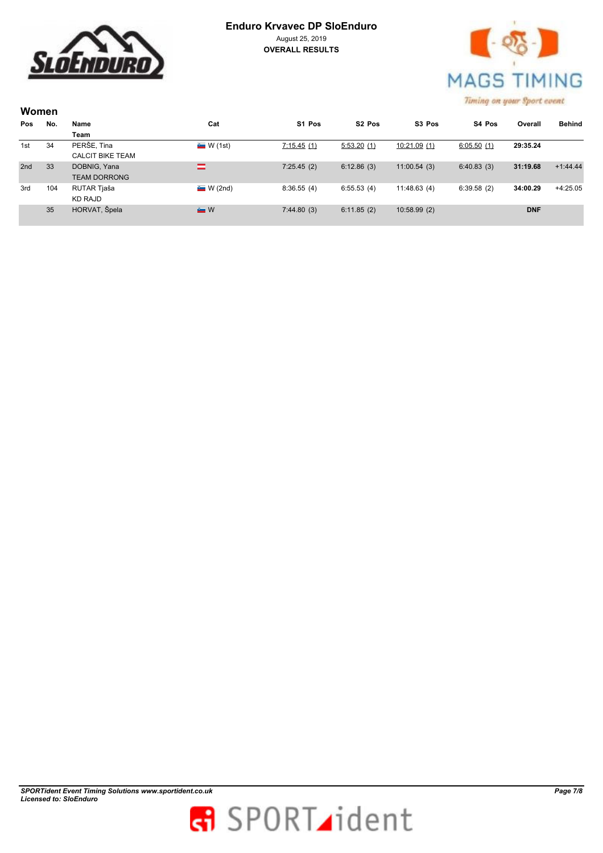

# **Enduro Krvavec DP SloEnduro** August 25, 2019

**OVERALL RESULTS**



| Women |     |                         |                  |            |                    |             |            |            |               |
|-------|-----|-------------------------|------------------|------------|--------------------|-------------|------------|------------|---------------|
| Pos   | No. | Name                    | Cat              | S1 Pos     | S <sub>2</sub> Pos | S3 Pos      | S4 Pos     | Overall    | <b>Behind</b> |
|       |     | Team                    |                  |            |                    |             |            |            |               |
| 1st   | 34  | PERŠE, Tina             | $\sim$ W (1st)   | 7:15.45(1) | 5:53.20(1)         | 10:21.09(1) | 6:05.50(1) | 29:35.24   |               |
|       |     | <b>CALCIT BIKE TEAM</b> |                  |            |                    |             |            |            |               |
| 2nd   | 33  | DOBNIG, Yana            | =                | 7:25.45(2) | 6:12.86(3)         | 11:00.54(3) | 6:40.83(3) | 31:19.68   | $+1:44.44$    |
|       |     | <b>TEAM DORRONG</b>     |                  |            |                    |             |            |            |               |
| 3rd   | 104 | RUTAR Tjaša             | W(2nd)           | 8:36.55(4) | 6:55.53(4)         | 11:48.63(4) | 6:39.58(2) | 34:00.29   | $+4:25.05$    |
|       |     | KD RAJD                 |                  |            |                    |             |            |            |               |
|       | 35  | HORVAT, Špela           | $\blacksquare$ W | 7:44.80(3) | 6:11.85(2)         | 10:58.99(2) |            | <b>DNF</b> |               |
|       |     |                         |                  |            |                    |             |            |            |               |